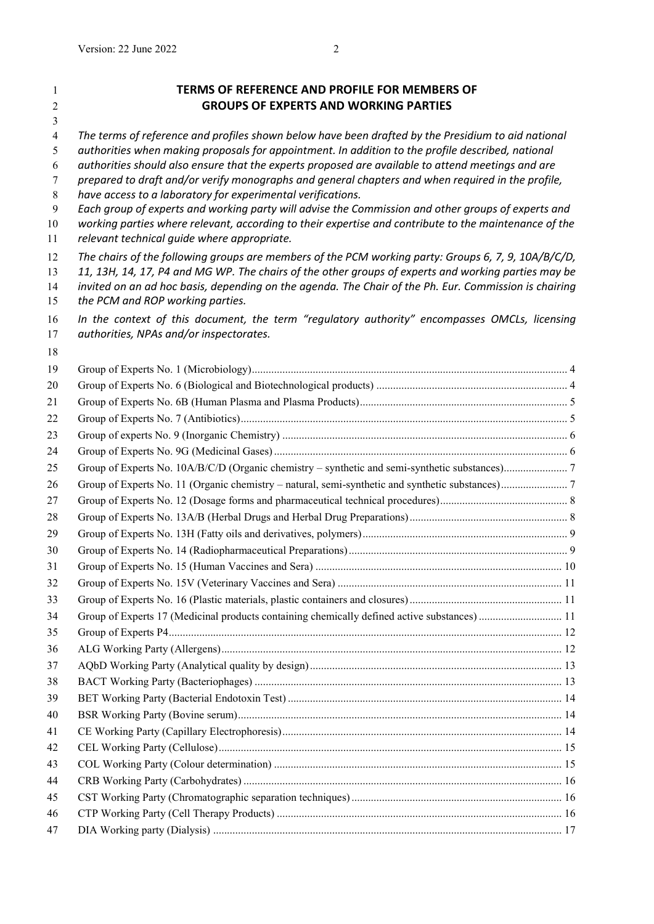| 1                | TERMS OF REFERENCE AND PROFILE FOR MEMBERS OF                                                                                                                    |  |
|------------------|------------------------------------------------------------------------------------------------------------------------------------------------------------------|--|
| $\overline{2}$   | <b>GROUPS OF EXPERTS AND WORKING PARTIES</b>                                                                                                                     |  |
| 3                |                                                                                                                                                                  |  |
| $\overline{4}$   | The terms of reference and profiles shown below have been drafted by the Presidium to aid national                                                               |  |
| 5                | authorities when making proposals for appointment. In addition to the profile described, national                                                                |  |
| 6                | authorities should also ensure that the experts proposed are available to attend meetings and are                                                                |  |
| 7<br>$\,$ 8 $\,$ | prepared to draft and/or verify monographs and general chapters and when required in the profile,<br>have access to a laboratory for experimental verifications. |  |
| $\mathbf{9}$     | Each group of experts and working party will advise the Commission and other groups of experts and                                                               |  |
| 10               | working parties where relevant, according to their expertise and contribute to the maintenance of the                                                            |  |
| 11               | relevant technical guide where appropriate.                                                                                                                      |  |
| 12               | The chairs of the following groups are members of the PCM working party: Groups 6, 7, 9, 10A/B/C/D,                                                              |  |
| 13               | 11, 13H, 14, 17, P4 and MG WP. The chairs of the other groups of experts and working parties may be                                                              |  |
| 14               | invited on an ad hoc basis, depending on the agenda. The Chair of the Ph. Eur. Commission is chairing                                                            |  |
| 15               | the PCM and ROP working parties.                                                                                                                                 |  |
| 16               | In the context of this document, the term "requlatory authority" encompasses OMCLs, licensing                                                                    |  |
| 17               | authorities, NPAs and/or inspectorates.                                                                                                                          |  |
| 18               |                                                                                                                                                                  |  |
| 19               |                                                                                                                                                                  |  |
| 20               |                                                                                                                                                                  |  |
| 21               |                                                                                                                                                                  |  |
| 22               |                                                                                                                                                                  |  |
| 23               |                                                                                                                                                                  |  |
| 24               |                                                                                                                                                                  |  |
| 25               |                                                                                                                                                                  |  |
| 26               |                                                                                                                                                                  |  |
| 27               |                                                                                                                                                                  |  |
| 28               |                                                                                                                                                                  |  |
| 29               |                                                                                                                                                                  |  |
| 30               |                                                                                                                                                                  |  |
| 31               |                                                                                                                                                                  |  |
| 32               |                                                                                                                                                                  |  |
| 33               |                                                                                                                                                                  |  |
| 34               | Group of Experts 17 (Medicinal products containing chemically defined active substances)  11                                                                     |  |
| 35               |                                                                                                                                                                  |  |
| 36               |                                                                                                                                                                  |  |
| 37               |                                                                                                                                                                  |  |
| 38               |                                                                                                                                                                  |  |
| 39               |                                                                                                                                                                  |  |
| 40               |                                                                                                                                                                  |  |
| 41               |                                                                                                                                                                  |  |
| 42               |                                                                                                                                                                  |  |
| 43               |                                                                                                                                                                  |  |
| 44               |                                                                                                                                                                  |  |
| 45<br>46         |                                                                                                                                                                  |  |
| 47               |                                                                                                                                                                  |  |
|                  |                                                                                                                                                                  |  |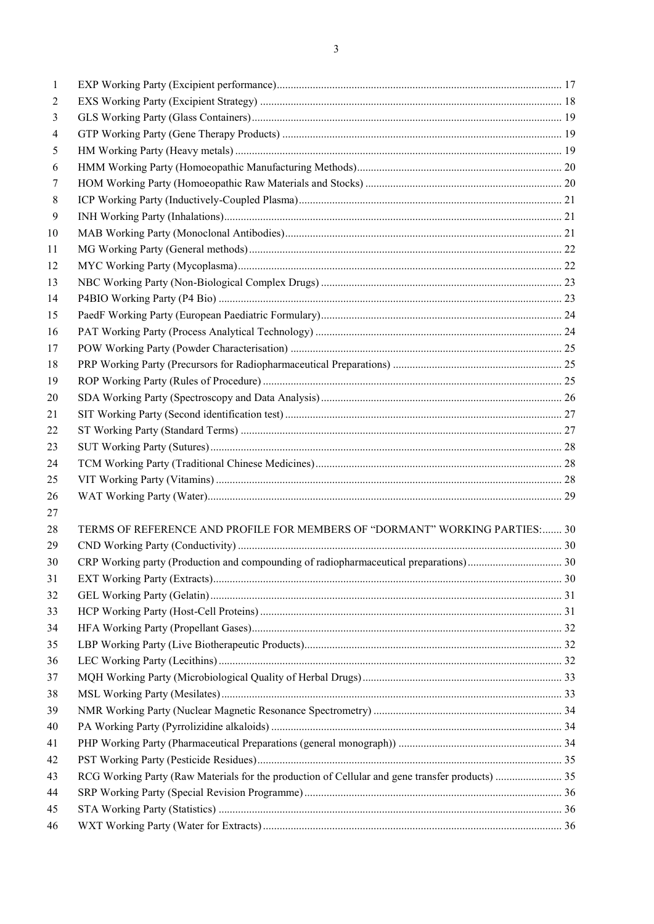| 1  |                                                                                                 |  |
|----|-------------------------------------------------------------------------------------------------|--|
| 2  |                                                                                                 |  |
| 3  |                                                                                                 |  |
| 4  |                                                                                                 |  |
| 5  |                                                                                                 |  |
| 6  |                                                                                                 |  |
| 7  |                                                                                                 |  |
| 8  |                                                                                                 |  |
| 9  |                                                                                                 |  |
| 10 |                                                                                                 |  |
| 11 |                                                                                                 |  |
| 12 |                                                                                                 |  |
| 13 |                                                                                                 |  |
| 14 |                                                                                                 |  |
| 15 |                                                                                                 |  |
| 16 |                                                                                                 |  |
| 17 |                                                                                                 |  |
| 18 |                                                                                                 |  |
| 19 |                                                                                                 |  |
| 20 |                                                                                                 |  |
| 21 |                                                                                                 |  |
| 22 |                                                                                                 |  |
| 23 |                                                                                                 |  |
| 24 |                                                                                                 |  |
| 25 |                                                                                                 |  |
| 26 |                                                                                                 |  |
| 27 |                                                                                                 |  |
| 28 | TERMS OF REFERENCE AND PROFILE FOR MEMBERS OF "DORMANT" WORKING PARTIES: 30                     |  |
| 29 |                                                                                                 |  |
| 30 |                                                                                                 |  |
| 31 |                                                                                                 |  |
| 32 |                                                                                                 |  |
| 33 |                                                                                                 |  |
| 34 |                                                                                                 |  |
| 35 |                                                                                                 |  |
| 36 |                                                                                                 |  |
| 37 |                                                                                                 |  |
| 38 |                                                                                                 |  |
| 39 |                                                                                                 |  |
| 40 |                                                                                                 |  |
| 41 |                                                                                                 |  |
| 42 |                                                                                                 |  |
| 43 | RCG Working Party (Raw Materials for the production of Cellular and gene transfer products)  35 |  |
| 44 |                                                                                                 |  |
| 45 |                                                                                                 |  |
| 46 |                                                                                                 |  |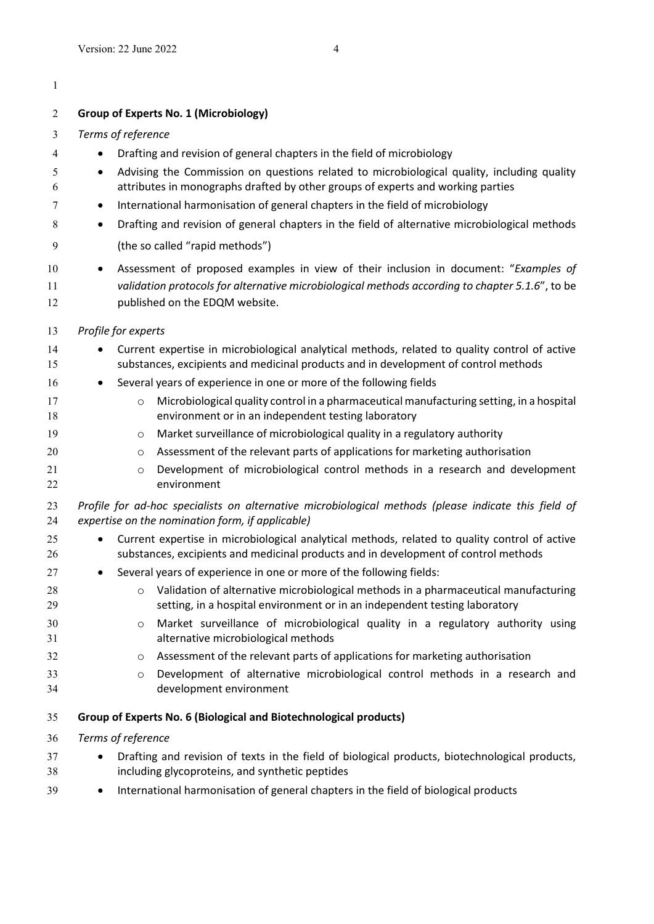<span id="page-2-1"></span><span id="page-2-0"></span>

| 1              |                                                                                                                                                                                                                                                                            |  |  |
|----------------|----------------------------------------------------------------------------------------------------------------------------------------------------------------------------------------------------------------------------------------------------------------------------|--|--|
| 2              | <b>Group of Experts No. 1 (Microbiology)</b>                                                                                                                                                                                                                               |  |  |
| 3              | Terms of reference                                                                                                                                                                                                                                                         |  |  |
| 4              | Drafting and revision of general chapters in the field of microbiology                                                                                                                                                                                                     |  |  |
| 5<br>6<br>7    | Advising the Commission on questions related to microbiological quality, including quality<br>attributes in monographs drafted by other groups of experts and working parties<br>International harmonisation of general chapters in the field of microbiology<br>$\bullet$ |  |  |
| 8              | Drafting and revision of general chapters in the field of alternative microbiological methods                                                                                                                                                                              |  |  |
| 9              | (the so called "rapid methods")                                                                                                                                                                                                                                            |  |  |
| 10<br>11<br>12 | Assessment of proposed examples in view of their inclusion in document: "Examples of<br>validation protocols for alternative microbiological methods according to chapter 5.1.6", to be<br>published on the EDQM website.                                                  |  |  |
| 13             | Profile for experts                                                                                                                                                                                                                                                        |  |  |
| 14<br>15       | Current expertise in microbiological analytical methods, related to quality control of active<br>substances, excipients and medicinal products and in development of control methods                                                                                       |  |  |
| 16             | Several years of experience in one or more of the following fields                                                                                                                                                                                                         |  |  |
| 17<br>18       | Microbiological quality control in a pharmaceutical manufacturing setting, in a hospital<br>$\circ$<br>environment or in an independent testing laboratory                                                                                                                 |  |  |
| 19             | Market surveillance of microbiological quality in a regulatory authority<br>$\circ$                                                                                                                                                                                        |  |  |
| 20             | Assessment of the relevant parts of applications for marketing authorisation<br>$\circ$                                                                                                                                                                                    |  |  |
| 21<br>22       | Development of microbiological control methods in a research and development<br>$\circ$<br>environment                                                                                                                                                                     |  |  |
| 23<br>24       | Profile for ad-hoc specialists on alternative microbiological methods (please indicate this field of<br>expertise on the nomination form, if applicable)                                                                                                                   |  |  |
| 25<br>26       | Current expertise in microbiological analytical methods, related to quality control of active<br>substances, excipients and medicinal products and in development of control methods                                                                                       |  |  |
| 27             | Several years of experience in one or more of the following fields:                                                                                                                                                                                                        |  |  |
| 28<br>29       | Validation of alternative microbiological methods in a pharmaceutical manufacturing<br>$\circ$<br>setting, in a hospital environment or in an independent testing laboratory                                                                                               |  |  |
| 30<br>31       | Market surveillance of microbiological quality in a regulatory authority using<br>$\circ$<br>alternative microbiological methods                                                                                                                                           |  |  |
| 32             | Assessment of the relevant parts of applications for marketing authorisation<br>$\circ$                                                                                                                                                                                    |  |  |
| 33<br>34       | Development of alternative microbiological control methods in a research and<br>$\circ$<br>development environment                                                                                                                                                         |  |  |
| 35             | Group of Experts No. 6 (Biological and Biotechnological products)                                                                                                                                                                                                          |  |  |
| 36             | Terms of reference                                                                                                                                                                                                                                                         |  |  |
| 37<br>38       | Drafting and revision of texts in the field of biological products, biotechnological products,<br>including glycoproteins, and synthetic peptides                                                                                                                          |  |  |
| 39             | International harmonisation of general chapters in the field of biological products                                                                                                                                                                                        |  |  |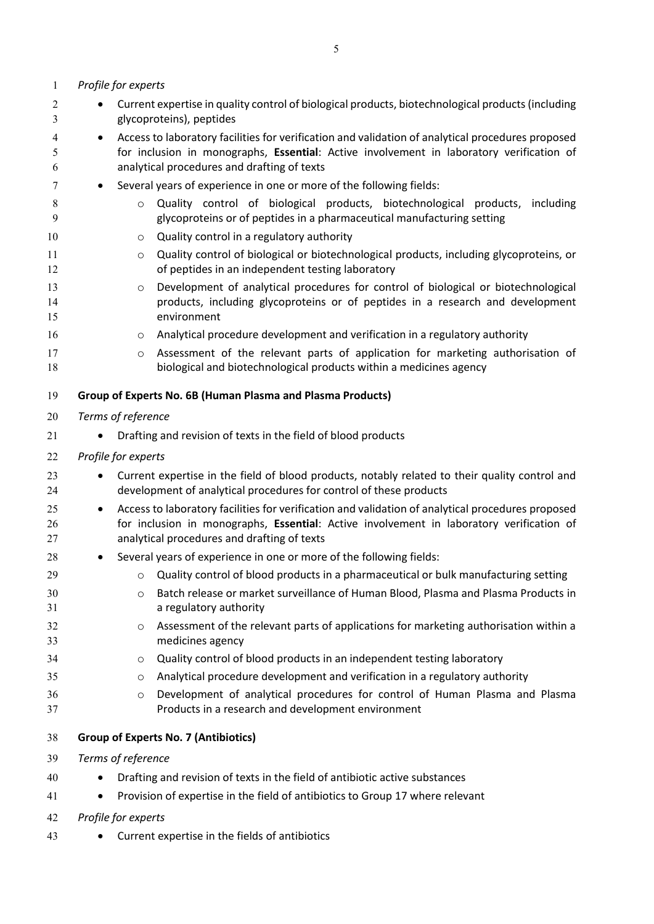<span id="page-3-1"></span><span id="page-3-0"></span>

| $\mathbf{1}$   | Profile for experts                                                                                                                                                                                                                                       |  |  |
|----------------|-----------------------------------------------------------------------------------------------------------------------------------------------------------------------------------------------------------------------------------------------------------|--|--|
| 2<br>3         | Current expertise in quality control of biological products, biotechnological products (including<br>glycoproteins), peptides                                                                                                                             |  |  |
| 4<br>5<br>6    | Access to laboratory facilities for verification and validation of analytical procedures proposed<br>$\bullet$<br>for inclusion in monographs, Essential: Active involvement in laboratory verification of<br>analytical procedures and drafting of texts |  |  |
| 7              | Several years of experience in one or more of the following fields:<br>٠                                                                                                                                                                                  |  |  |
| 8<br>9         | Quality control of biological products, biotechnological products, including<br>$\circ$<br>glycoproteins or of peptides in a pharmaceutical manufacturing setting                                                                                         |  |  |
| 10             | Quality control in a regulatory authority<br>O                                                                                                                                                                                                            |  |  |
| 11<br>12       | Quality control of biological or biotechnological products, including glycoproteins, or<br>O<br>of peptides in an independent testing laboratory                                                                                                          |  |  |
| 13<br>14<br>15 | Development of analytical procedures for control of biological or biotechnological<br>$\circ$<br>products, including glycoproteins or of peptides in a research and development<br>environment                                                            |  |  |
| 16             | Analytical procedure development and verification in a regulatory authority<br>O                                                                                                                                                                          |  |  |
| 17<br>18       | Assessment of the relevant parts of application for marketing authorisation of<br>O<br>biological and biotechnological products within a medicines agency                                                                                                 |  |  |
| 19             | Group of Experts No. 6B (Human Plasma and Plasma Products)                                                                                                                                                                                                |  |  |
| 20             | Terms of reference                                                                                                                                                                                                                                        |  |  |
| 21             | Drafting and revision of texts in the field of blood products                                                                                                                                                                                             |  |  |
| 22             | Profile for experts                                                                                                                                                                                                                                       |  |  |
| 23<br>24       | Current expertise in the field of blood products, notably related to their quality control and<br>development of analytical procedures for control of these products                                                                                      |  |  |
| 25<br>26<br>27 | Access to laboratory facilities for verification and validation of analytical procedures proposed<br>٠<br>for inclusion in monographs, Essential: Active involvement in laboratory verification of<br>analytical procedures and drafting of texts         |  |  |
| 28             | Several years of experience in one or more of the following fields:                                                                                                                                                                                       |  |  |
| 29             | Quality control of blood products in a pharmaceutical or bulk manufacturing setting                                                                                                                                                                       |  |  |
| 30<br>31       | Batch release or market surveillance of Human Blood, Plasma and Plasma Products in<br>$\circ$<br>a regulatory authority                                                                                                                                   |  |  |
| 32<br>33       | Assessment of the relevant parts of applications for marketing authorisation within a<br>$\circ$<br>medicines agency                                                                                                                                      |  |  |
| 34             | Quality control of blood products in an independent testing laboratory<br>O                                                                                                                                                                               |  |  |
| 35             | Analytical procedure development and verification in a regulatory authority<br>$\circ$                                                                                                                                                                    |  |  |
| 36<br>37       | Development of analytical procedures for control of Human Plasma and Plasma<br>$\circ$<br>Products in a research and development environment                                                                                                              |  |  |
| 38             | <b>Group of Experts No. 7 (Antibiotics)</b>                                                                                                                                                                                                               |  |  |
| 39             | Terms of reference                                                                                                                                                                                                                                        |  |  |
| 40             | Drafting and revision of texts in the field of antibiotic active substances                                                                                                                                                                               |  |  |
| 41             | Provision of expertise in the field of antibiotics to Group 17 where relevant<br>$\bullet$                                                                                                                                                                |  |  |
| 42             | Profile for experts                                                                                                                                                                                                                                       |  |  |
| 43             | Current expertise in the fields of antibiotics                                                                                                                                                                                                            |  |  |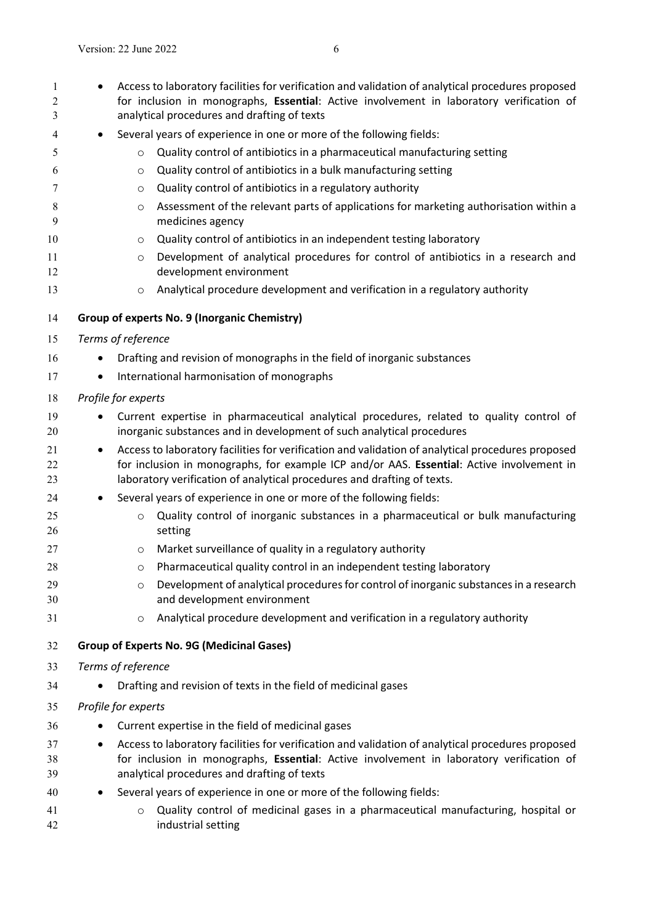<span id="page-4-1"></span><span id="page-4-0"></span>

| 1<br>2<br>3    |                                                                                                                                                                                                            | Access to laboratory facilities for verification and validation of analytical procedures proposed<br>for inclusion in monographs, Essential: Active involvement in laboratory verification of<br>analytical procedures and drafting of texts                              |  |  |
|----------------|------------------------------------------------------------------------------------------------------------------------------------------------------------------------------------------------------------|---------------------------------------------------------------------------------------------------------------------------------------------------------------------------------------------------------------------------------------------------------------------------|--|--|
| 4              |                                                                                                                                                                                                            | Several years of experience in one or more of the following fields:                                                                                                                                                                                                       |  |  |
| 5              | $\circ$                                                                                                                                                                                                    | Quality control of antibiotics in a pharmaceutical manufacturing setting                                                                                                                                                                                                  |  |  |
| 6              | $\circ$                                                                                                                                                                                                    | Quality control of antibiotics in a bulk manufacturing setting                                                                                                                                                                                                            |  |  |
| 7              | $\circ$                                                                                                                                                                                                    | Quality control of antibiotics in a regulatory authority                                                                                                                                                                                                                  |  |  |
| 8              | $\circ$                                                                                                                                                                                                    | Assessment of the relevant parts of applications for marketing authorisation within a                                                                                                                                                                                     |  |  |
| 9              |                                                                                                                                                                                                            | medicines agency                                                                                                                                                                                                                                                          |  |  |
| 10             | $\circ$                                                                                                                                                                                                    | Quality control of antibiotics in an independent testing laboratory                                                                                                                                                                                                       |  |  |
| 11<br>12       | $\circ$                                                                                                                                                                                                    | Development of analytical procedures for control of antibiotics in a research and<br>development environment                                                                                                                                                              |  |  |
| 13             | $\circ$                                                                                                                                                                                                    | Analytical procedure development and verification in a regulatory authority                                                                                                                                                                                               |  |  |
| 14             |                                                                                                                                                                                                            | Group of experts No. 9 (Inorganic Chemistry)                                                                                                                                                                                                                              |  |  |
| 15             | Terms of reference                                                                                                                                                                                         |                                                                                                                                                                                                                                                                           |  |  |
| 16             |                                                                                                                                                                                                            | Drafting and revision of monographs in the field of inorganic substances                                                                                                                                                                                                  |  |  |
| 17             | International harmonisation of monographs                                                                                                                                                                  |                                                                                                                                                                                                                                                                           |  |  |
| 18             | Profile for experts                                                                                                                                                                                        |                                                                                                                                                                                                                                                                           |  |  |
| 19<br>20       |                                                                                                                                                                                                            | Current expertise in pharmaceutical analytical procedures, related to quality control of<br>inorganic substances and in development of such analytical procedures                                                                                                         |  |  |
| 21<br>22<br>23 | ٠                                                                                                                                                                                                          | Access to laboratory facilities for verification and validation of analytical procedures proposed<br>for inclusion in monographs, for example ICP and/or AAS. Essential: Active involvement in<br>laboratory verification of analytical procedures and drafting of texts. |  |  |
| 24             |                                                                                                                                                                                                            | Several years of experience in one or more of the following fields:                                                                                                                                                                                                       |  |  |
| 25<br>26       | $\circ$<br>setting                                                                                                                                                                                         | Quality control of inorganic substances in a pharmaceutical or bulk manufacturing                                                                                                                                                                                         |  |  |
| 27             | $\circ$                                                                                                                                                                                                    | Market surveillance of quality in a regulatory authority                                                                                                                                                                                                                  |  |  |
| 28             | $\circ$                                                                                                                                                                                                    | Pharmaceutical quality control in an independent testing laboratory                                                                                                                                                                                                       |  |  |
| 29<br>30       | $\circ$                                                                                                                                                                                                    | Development of analytical procedures for control of inorganic substances in a research<br>and development environment                                                                                                                                                     |  |  |
| 31             | $\circ$                                                                                                                                                                                                    | Analytical procedure development and verification in a regulatory authority                                                                                                                                                                                               |  |  |
| 32             |                                                                                                                                                                                                            | <b>Group of Experts No. 9G (Medicinal Gases)</b>                                                                                                                                                                                                                          |  |  |
| 33             | Terms of reference                                                                                                                                                                                         |                                                                                                                                                                                                                                                                           |  |  |
| 34             | Drafting and revision of texts in the field of medicinal gases                                                                                                                                             |                                                                                                                                                                                                                                                                           |  |  |
| 35             | Profile for experts                                                                                                                                                                                        |                                                                                                                                                                                                                                                                           |  |  |
| 36             |                                                                                                                                                                                                            | Current expertise in the field of medicinal gases                                                                                                                                                                                                                         |  |  |
| 37<br>38<br>39 | Access to laboratory facilities for verification and validation of analytical procedures proposed<br>$\bullet$<br>for inclusion in monographs, Essential: Active involvement in laboratory verification of |                                                                                                                                                                                                                                                                           |  |  |
| 40             | analytical procedures and drafting of texts<br>Several years of experience in one or more of the following fields:                                                                                         |                                                                                                                                                                                                                                                                           |  |  |
| 41<br>42       | $\circ$                                                                                                                                                                                                    | Quality control of medicinal gases in a pharmaceutical manufacturing, hospital or<br>industrial setting                                                                                                                                                                   |  |  |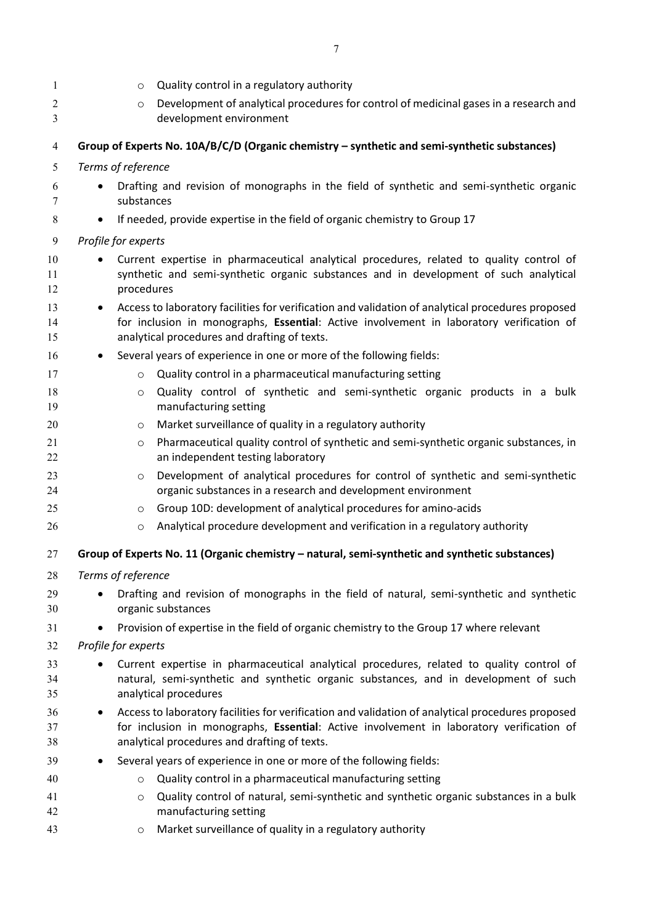<span id="page-5-1"></span><span id="page-5-0"></span>

| $\mathbf{1}$ | Quality control in a regulatory authority<br>$\circ$                                                                |  |
|--------------|---------------------------------------------------------------------------------------------------------------------|--|
| 2            | Development of analytical procedures for control of medicinal gases in a research and<br>$\circ$                    |  |
| 3            | development environment                                                                                             |  |
| 4            | Group of Experts No. 10A/B/C/D (Organic chemistry - synthetic and semi-synthetic substances)                        |  |
| 5            | Terms of reference                                                                                                  |  |
| 6            | Drafting and revision of monographs in the field of synthetic and semi-synthetic organic                            |  |
| 7            | substances                                                                                                          |  |
| 8            | If needed, provide expertise in the field of organic chemistry to Group 17<br>$\bullet$                             |  |
| 9            | Profile for experts                                                                                                 |  |
| 10           | Current expertise in pharmaceutical analytical procedures, related to quality control of                            |  |
| 11           | synthetic and semi-synthetic organic substances and in development of such analytical                               |  |
| 12           | procedures                                                                                                          |  |
| 13           | Access to laboratory facilities for verification and validation of analytical procedures proposed<br>$\bullet$      |  |
| 14           | for inclusion in monographs, Essential: Active involvement in laboratory verification of                            |  |
| 15           | analytical procedures and drafting of texts.                                                                        |  |
| 16           | Several years of experience in one or more of the following fields:                                                 |  |
| 17           | Quality control in a pharmaceutical manufacturing setting<br>$\circ$                                                |  |
| 18           | Quality control of synthetic and semi-synthetic organic products in a bulk<br>$\circ$                               |  |
| 19           | manufacturing setting                                                                                               |  |
| 20           | Market surveillance of quality in a regulatory authority<br>O                                                       |  |
| 21           | Pharmaceutical quality control of synthetic and semi-synthetic organic substances, in<br>$\circ$                    |  |
| 22           | an independent testing laboratory                                                                                   |  |
| 23           | Development of analytical procedures for control of synthetic and semi-synthetic<br>$\circ$                         |  |
| 24           | organic substances in a research and development environment                                                        |  |
| 25           | Group 10D: development of analytical procedures for amino-acids<br>O                                                |  |
| 26           | Analytical procedure development and verification in a regulatory authority<br>$\circ$                              |  |
| 27           | Group of Experts No. 11 (Organic chemistry - natural, semi-synthetic and synthetic substances)                      |  |
| 28           | Terms of reference                                                                                                  |  |
| 29           | Drafting and revision of monographs in the field of natural, semi-synthetic and synthetic                           |  |
| 30           | organic substances                                                                                                  |  |
| 31           | Provision of expertise in the field of organic chemistry to the Group 17 where relevant                             |  |
| 32           | Profile for experts                                                                                                 |  |
| 33           | Current expertise in pharmaceutical analytical procedures, related to quality control of<br>٠                       |  |
| 34           | natural, semi-synthetic and synthetic organic substances, and in development of such                                |  |
| 35           | analytical procedures                                                                                               |  |
| 36           | Access to laboratory facilities for verification and validation of analytical procedures proposed                   |  |
| 37           | for inclusion in monographs, Essential: Active involvement in laboratory verification of                            |  |
| 38           | analytical procedures and drafting of texts.                                                                        |  |
| 39           | Several years of experience in one or more of the following fields:                                                 |  |
| 40           | Quality control in a pharmaceutical manufacturing setting<br>O                                                      |  |
| 41<br>42     | Quality control of natural, semi-synthetic and synthetic organic substances in a bulk<br>O<br>manufacturing setting |  |
| 43           | Market surveillance of quality in a regulatory authority<br>O                                                       |  |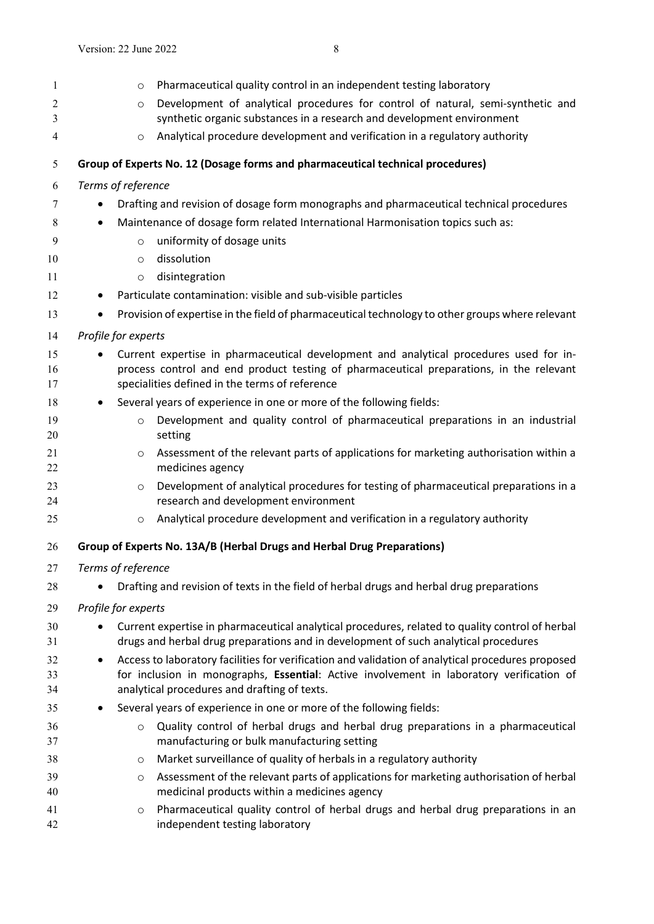<span id="page-6-1"></span><span id="page-6-0"></span>

| $\mathbf{1}$        | Pharmaceutical quality control in an independent testing laboratory<br>O                                                                                                                                                                      |  |
|---------------------|-----------------------------------------------------------------------------------------------------------------------------------------------------------------------------------------------------------------------------------------------|--|
| $\overline{c}$<br>3 | Development of analytical procedures for control of natural, semi-synthetic and<br>$\circ$<br>synthetic organic substances in a research and development environment                                                                          |  |
| $\overline{4}$      | Analytical procedure development and verification in a regulatory authority<br>$\circ$                                                                                                                                                        |  |
| 5                   | Group of Experts No. 12 (Dosage forms and pharmaceutical technical procedures)                                                                                                                                                                |  |
| 6                   | Terms of reference                                                                                                                                                                                                                            |  |
| 7                   | Drafting and revision of dosage form monographs and pharmaceutical technical procedures                                                                                                                                                       |  |
| 8                   | Maintenance of dosage form related International Harmonisation topics such as:<br>$\bullet$                                                                                                                                                   |  |
| 9                   | uniformity of dosage units<br>$\circ$                                                                                                                                                                                                         |  |
| 10                  | dissolution<br>$\circ$                                                                                                                                                                                                                        |  |
| 11                  | disintegration<br>$\circ$                                                                                                                                                                                                                     |  |
| 12                  | Particulate contamination: visible and sub-visible particles                                                                                                                                                                                  |  |
| 13                  | Provision of expertise in the field of pharmaceutical technology to other groups where relevant                                                                                                                                               |  |
| 14                  | Profile for experts                                                                                                                                                                                                                           |  |
| 15<br>16<br>17      | Current expertise in pharmaceutical development and analytical procedures used for in-<br>process control and end product testing of pharmaceutical preparations, in the relevant<br>specialities defined in the terms of reference           |  |
| 18                  | Several years of experience in one or more of the following fields:<br>٠                                                                                                                                                                      |  |
| 19<br>20            | Development and quality control of pharmaceutical preparations in an industrial<br>$\circ$<br>setting                                                                                                                                         |  |
| 21<br>22            | Assessment of the relevant parts of applications for marketing authorisation within a<br>$\circ$<br>medicines agency                                                                                                                          |  |
| 23<br>24            | Development of analytical procedures for testing of pharmaceutical preparations in a<br>$\circ$<br>research and development environment                                                                                                       |  |
| 25                  | Analytical procedure development and verification in a regulatory authority<br>$\circ$                                                                                                                                                        |  |
| 26                  | Group of Experts No. 13A/B (Herbal Drugs and Herbal Drug Preparations)                                                                                                                                                                        |  |
| 27                  | Terms of reference                                                                                                                                                                                                                            |  |
| 28                  | Drafting and revision of texts in the field of herbal drugs and herbal drug preparations                                                                                                                                                      |  |
| 29                  | Profile for experts                                                                                                                                                                                                                           |  |
| 30<br>31            | Current expertise in pharmaceutical analytical procedures, related to quality control of herbal<br>drugs and herbal drug preparations and in development of such analytical procedures                                                        |  |
| 32<br>33<br>34      | Access to laboratory facilities for verification and validation of analytical procedures proposed<br>for inclusion in monographs, Essential: Active involvement in laboratory verification of<br>analytical procedures and drafting of texts. |  |
| 35                  | Several years of experience in one or more of the following fields:<br>٠                                                                                                                                                                      |  |
| 36<br>37            | Quality control of herbal drugs and herbal drug preparations in a pharmaceutical<br>$\circ$<br>manufacturing or bulk manufacturing setting                                                                                                    |  |
| 38                  | Market surveillance of quality of herbals in a regulatory authority<br>O                                                                                                                                                                      |  |
| 39<br>40            | Assessment of the relevant parts of applications for marketing authorisation of herbal<br>O<br>medicinal products within a medicines agency                                                                                                   |  |
| 41<br>42            | Pharmaceutical quality control of herbal drugs and herbal drug preparations in an<br>O<br>independent testing laboratory                                                                                                                      |  |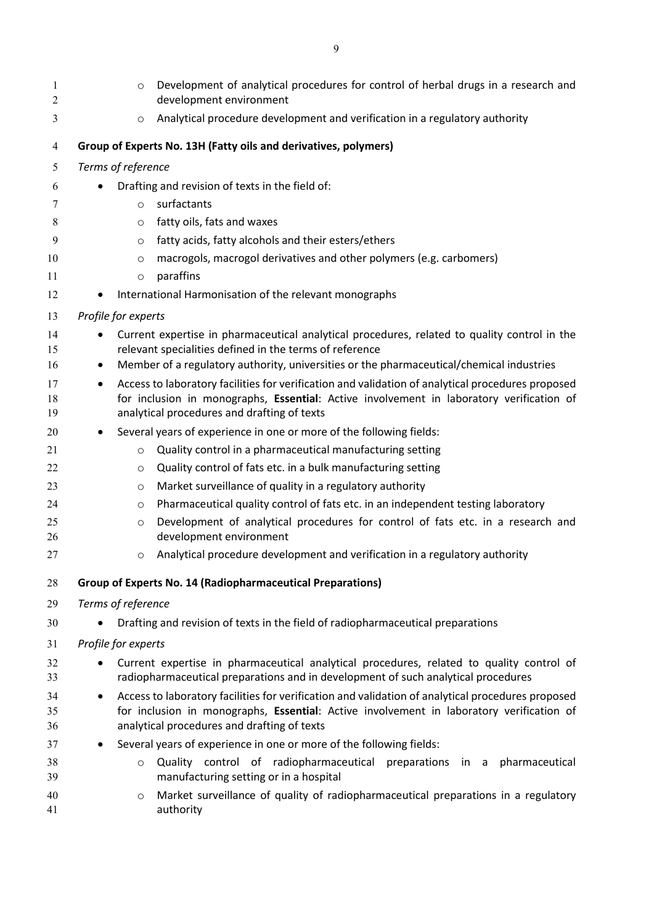<span id="page-7-1"></span><span id="page-7-0"></span>

| 1<br>2   | Development of analytical procedures for control of herbal drugs in a research and<br>$\circ$<br>development environment                                |  |  |
|----------|---------------------------------------------------------------------------------------------------------------------------------------------------------|--|--|
| 3        | Analytical procedure development and verification in a regulatory authority<br>$\circ$                                                                  |  |  |
| 4        | Group of Experts No. 13H (Fatty oils and derivatives, polymers)                                                                                         |  |  |
| 5        | Terms of reference                                                                                                                                      |  |  |
| 6        | Drafting and revision of texts in the field of:                                                                                                         |  |  |
| 7        | surfactants<br>$\circ$                                                                                                                                  |  |  |
| 8        | fatty oils, fats and waxes<br>$\circ$                                                                                                                   |  |  |
| 9        | fatty acids, fatty alcohols and their esters/ethers<br>$\circ$                                                                                          |  |  |
| 10       | macrogols, macrogol derivatives and other polymers (e.g. carbomers)<br>$\circ$                                                                          |  |  |
| 11       | paraffins<br>$\circ$                                                                                                                                    |  |  |
| 12       | International Harmonisation of the relevant monographs                                                                                                  |  |  |
| 13       | Profile for experts                                                                                                                                     |  |  |
| 14<br>15 | Current expertise in pharmaceutical analytical procedures, related to quality control in the<br>relevant specialities defined in the terms of reference |  |  |
| 16       | Member of a regulatory authority, universities or the pharmaceutical/chemical industries<br>٠                                                           |  |  |
| 17       | Access to laboratory facilities for verification and validation of analytical procedures proposed<br>$\bullet$                                          |  |  |
| 18       | for inclusion in monographs, Essential: Active involvement in laboratory verification of                                                                |  |  |
| 19       | analytical procedures and drafting of texts                                                                                                             |  |  |
| 20       | Several years of experience in one or more of the following fields:<br>٠                                                                                |  |  |
| 21       | Quality control in a pharmaceutical manufacturing setting<br>$\circ$                                                                                    |  |  |
| 22       | Quality control of fats etc. in a bulk manufacturing setting<br>O                                                                                       |  |  |
| 23       | Market surveillance of quality in a regulatory authority<br>O                                                                                           |  |  |
| 24       | Pharmaceutical quality control of fats etc. in an independent testing laboratory<br>$\circ$                                                             |  |  |
| 25       | Development of analytical procedures for control of fats etc. in a research and<br>$\circ$                                                              |  |  |
| 26       | development environment                                                                                                                                 |  |  |
| 27       | Analytical procedure development and verification in a regulatory authority<br>O                                                                        |  |  |
| 28       | <b>Group of Experts No. 14 (Radiopharmaceutical Preparations)</b>                                                                                       |  |  |
| 29       | Terms of reference                                                                                                                                      |  |  |
| 30       | Drafting and revision of texts in the field of radiopharmaceutical preparations                                                                         |  |  |
| 31       | Profile for experts                                                                                                                                     |  |  |
| 32       | Current expertise in pharmaceutical analytical procedures, related to quality control of                                                                |  |  |
| 33       | radiopharmaceutical preparations and in development of such analytical procedures                                                                       |  |  |
| 34       | Access to laboratory facilities for verification and validation of analytical procedures proposed<br>$\bullet$                                          |  |  |
| 35       | for inclusion in monographs, Essential: Active involvement in laboratory verification of                                                                |  |  |
| 36       | analytical procedures and drafting of texts                                                                                                             |  |  |
| 37       | Several years of experience in one or more of the following fields:<br>$\bullet$                                                                        |  |  |
| 38<br>39 | Quality control of radiopharmaceutical preparations in a pharmaceutical<br>$\circ$<br>manufacturing setting or in a hospital                            |  |  |
| 40       | Market surveillance of quality of radiopharmaceutical preparations in a regulatory<br>O                                                                 |  |  |
| 41       | authority                                                                                                                                               |  |  |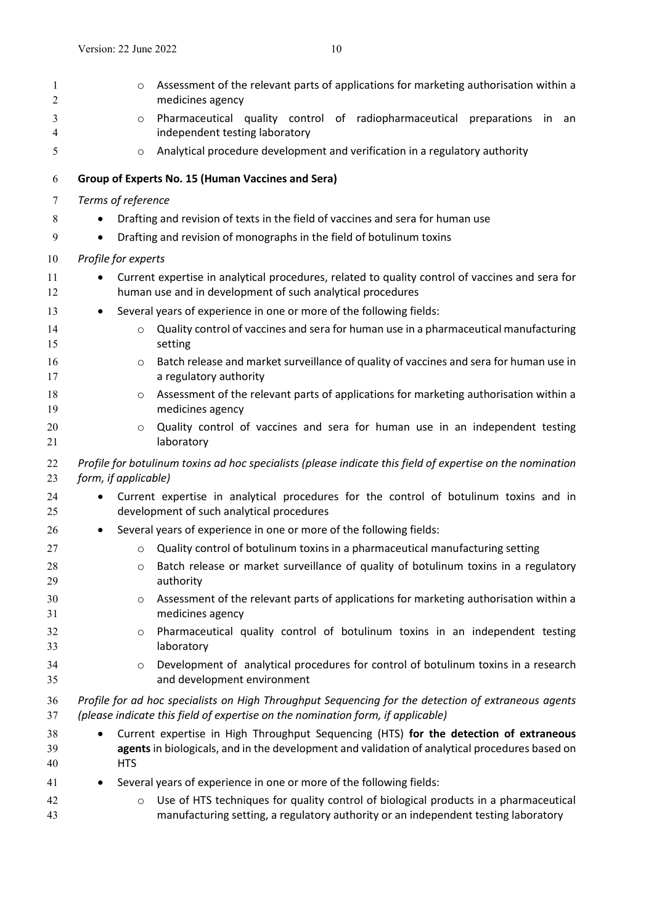<span id="page-8-0"></span>

| 1<br>$\overline{2}$ | Assessment of the relevant parts of applications for marketing authorisation within a<br>$\circ$<br>medicines agency                                                                                  |
|---------------------|-------------------------------------------------------------------------------------------------------------------------------------------------------------------------------------------------------|
| 3<br>4              | Pharmaceutical quality control of radiopharmaceutical preparations<br>in<br>an<br>$\circ$<br>independent testing laboratory                                                                           |
| 5                   | Analytical procedure development and verification in a regulatory authority<br>$\circ$                                                                                                                |
| 6                   | Group of Experts No. 15 (Human Vaccines and Sera)                                                                                                                                                     |
| 7                   | Terms of reference                                                                                                                                                                                    |
| $\,8\,$             | Drafting and revision of texts in the field of vaccines and sera for human use                                                                                                                        |
| 9                   | Drafting and revision of monographs in the field of botulinum toxins<br>$\bullet$                                                                                                                     |
| 10                  | Profile for experts                                                                                                                                                                                   |
| 11<br>12            | Current expertise in analytical procedures, related to quality control of vaccines and sera for<br>human use and in development of such analytical procedures                                         |
| 13                  | Several years of experience in one or more of the following fields:<br>$\bullet$                                                                                                                      |
| 14<br>15            | Quality control of vaccines and sera for human use in a pharmaceutical manufacturing<br>$\circ$<br>setting                                                                                            |
| 16<br>17            | Batch release and market surveillance of quality of vaccines and sera for human use in<br>$\circ$<br>a regulatory authority                                                                           |
| 18<br>19            | Assessment of the relevant parts of applications for marketing authorisation within a<br>$\circ$<br>medicines agency                                                                                  |
| 20<br>21            | Quality control of vaccines and sera for human use in an independent testing<br>$\circ$<br>laboratory                                                                                                 |
| 22<br>23            | Profile for botulinum toxins ad hoc specialists (please indicate this field of expertise on the nomination<br>form, if applicable)                                                                    |
| 24<br>25            | Current expertise in analytical procedures for the control of botulinum toxins and in<br>$\bullet$<br>development of such analytical procedures                                                       |
| 26                  | Several years of experience in one or more of the following fields:                                                                                                                                   |
| 27                  | Quality control of botulinum toxins in a pharmaceutical manufacturing setting<br>$\circ$                                                                                                              |
| 28<br>29            | o Batch release or market surveillance of quality of botulinum toxins in a regulatory<br>authority                                                                                                    |
| 30<br>31            | Assessment of the relevant parts of applications for marketing authorisation within a<br>$\circ$<br>medicines agency                                                                                  |
| 32<br>33            | Pharmaceutical quality control of botulinum toxins in an independent testing<br>$\circ$<br>laboratory                                                                                                 |
| 34<br>35            | Development of analytical procedures for control of botulinum toxins in a research<br>$\circ$<br>and development environment                                                                          |
| 36<br>37            | Profile for ad hoc specialists on High Throughput Sequencing for the detection of extraneous agents<br>(please indicate this field of expertise on the nomination form, if applicable)                |
| 38<br>39<br>40      | Current expertise in High Throughput Sequencing (HTS) for the detection of extraneous<br>agents in biologicals, and in the development and validation of analytical procedures based on<br><b>HTS</b> |
| 41                  | Several years of experience in one or more of the following fields:                                                                                                                                   |
| 42<br>43            | Use of HTS techniques for quality control of biological products in a pharmaceutical<br>$\circ$<br>manufacturing setting, a regulatory authority or an independent testing laboratory                 |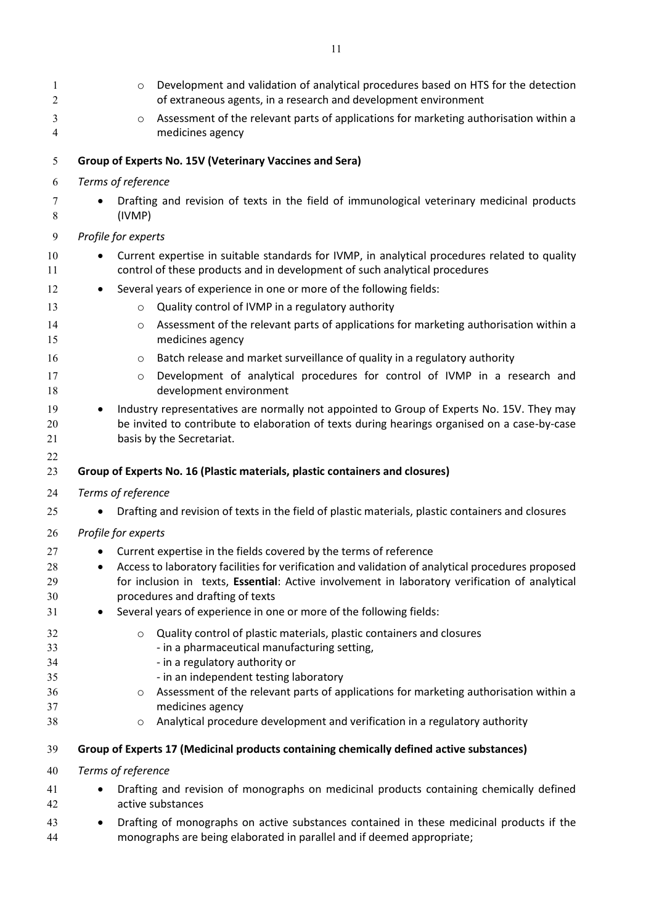<span id="page-9-2"></span><span id="page-9-1"></span><span id="page-9-0"></span>

| 1<br>2              | Development and validation of analytical procedures based on HTS for the detection<br>$\circ$<br>of extraneous agents, in a research and development environment                                                       |
|---------------------|------------------------------------------------------------------------------------------------------------------------------------------------------------------------------------------------------------------------|
| 3<br>$\overline{4}$ | Assessment of the relevant parts of applications for marketing authorisation within a<br>$\circ$<br>medicines agency                                                                                                   |
| 5                   | Group of Experts No. 15V (Veterinary Vaccines and Sera)                                                                                                                                                                |
| 6                   | Terms of reference                                                                                                                                                                                                     |
| 7                   | Drafting and revision of texts in the field of immunological veterinary medicinal products                                                                                                                             |
| 8                   | (IVMP)                                                                                                                                                                                                                 |
| 9                   | Profile for experts                                                                                                                                                                                                    |
| 10<br>11            | Current expertise in suitable standards for IVMP, in analytical procedures related to quality<br>control of these products and in development of such analytical procedures                                            |
| 12                  | Several years of experience in one or more of the following fields:                                                                                                                                                    |
| 13                  | Quality control of IVMP in a regulatory authority<br>$\circ$                                                                                                                                                           |
| 14<br>15            | Assessment of the relevant parts of applications for marketing authorisation within a<br>$\circ$<br>medicines agency                                                                                                   |
| 16                  | Batch release and market surveillance of quality in a regulatory authority<br>$\circ$                                                                                                                                  |
| 17<br>18            | Development of analytical procedures for control of IVMP in a research and<br>$\circ$<br>development environment                                                                                                       |
| 19<br>20<br>21      | Industry representatives are normally not appointed to Group of Experts No. 15V. They may<br>be invited to contribute to elaboration of texts during hearings organised on a case-by-case<br>basis by the Secretariat. |
| 22<br>23            | Group of Experts No. 16 (Plastic materials, plastic containers and closures)                                                                                                                                           |
| 24                  | Terms of reference                                                                                                                                                                                                     |
| 25                  | Drafting and revision of texts in the field of plastic materials, plastic containers and closures                                                                                                                      |
| 26                  | Profile for experts                                                                                                                                                                                                    |
| 27                  | Current expertise in the fields covered by the terms of reference                                                                                                                                                      |
| 28                  | Access to laboratory facilities for verification and validation of analytical procedures proposed                                                                                                                      |
| 29                  | for inclusion in texts, Essential: Active involvement in laboratory verification of analytical                                                                                                                         |
| 30                  | procedures and drafting of texts                                                                                                                                                                                       |
| 31                  | Several years of experience in one or more of the following fields:<br>٠                                                                                                                                               |
| 32                  | Quality control of plastic materials, plastic containers and closures<br>$\circ$                                                                                                                                       |
| 33                  | - in a pharmaceutical manufacturing setting,                                                                                                                                                                           |
| 34                  | - in a regulatory authority or                                                                                                                                                                                         |
| 35<br>36            | - in an independent testing laboratory<br>Assessment of the relevant parts of applications for marketing authorisation within a                                                                                        |
| 37                  | O<br>medicines agency                                                                                                                                                                                                  |
| 38                  | Analytical procedure development and verification in a regulatory authority<br>O                                                                                                                                       |
| 39                  | Group of Experts 17 (Medicinal products containing chemically defined active substances)                                                                                                                               |
| 40                  | Terms of reference                                                                                                                                                                                                     |
| 41                  | Drafting and revision of monographs on medicinal products containing chemically defined                                                                                                                                |
| 42                  | active substances                                                                                                                                                                                                      |
| 43                  | Drafting of monographs on active substances contained in these medicinal products if the                                                                                                                               |
| 44                  | monographs are being elaborated in parallel and if deemed appropriate;                                                                                                                                                 |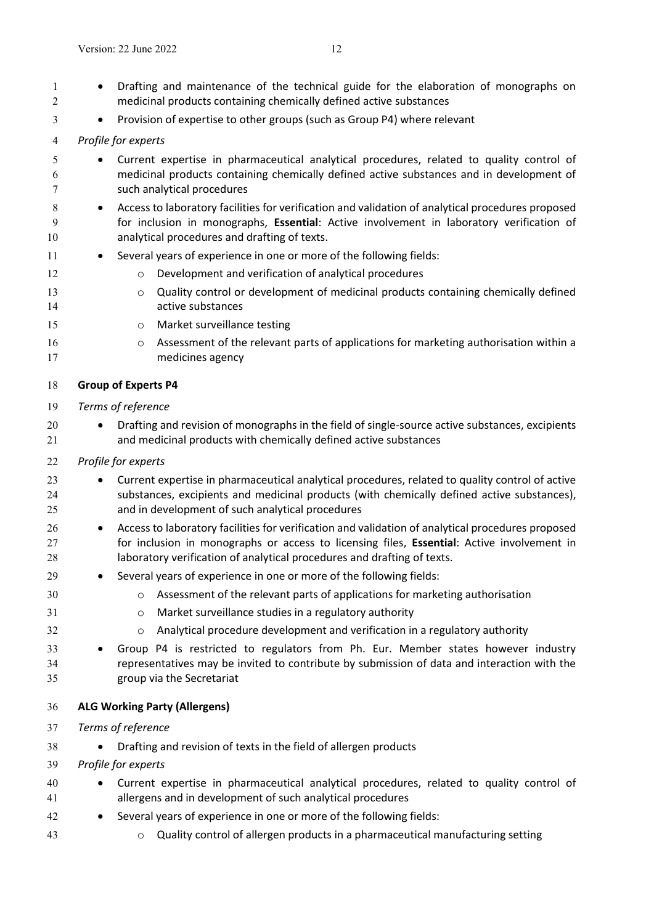- 1 Drafting and maintenance of the technical guide for the elaboration of monographs on medicinal products containing chemically defined active substances
- 3 Provision of expertise to other groups (such as Group P4) where relevant
- *Profile for experts*
- Current expertise in pharmaceutical analytical procedures, related to quality control of medicinal products containing chemically defined active substances and in development of such analytical procedures
- **Access to laboratory facilities for verification and validation of analytical procedures proposed**  for inclusion in monographs, **Essential**: Active involvement in laboratory verification of analytical procedures and drafting of texts.
- 11 Several years of experience in one or more of the following fields:
- **b Company** Development and verification of analytical procedures
- **o** Quality control or development of medicinal products containing chemically defined active substances
- o Market surveillance testing
- **b 16** o Assessment of the relevant parts of applications for marketing authorisation within a medicines agency

### <span id="page-10-0"></span>**Group of Experts P4**

- *Terms of reference*
- 20 Drafting and revision of monographs in the field of single-source active substances, excipients and medicinal products with chemically defined active substances
- *Profile for experts*
- Current expertise in pharmaceutical analytical procedures, related to quality control of active substances, excipients and medicinal products (with chemically defined active substances), and in development of such analytical procedures
- 26 Access to laboratory facilities for verification and validation of analytical procedures proposed for inclusion in monographs or access to licensing files, **Essential**: Active involvement in 28 laboratory verification of analytical procedures and drafting of texts.
- Several years of experience in one or more of the following fields:
- o Assessment of the relevant parts of applications for marketing authorisation
- o Market surveillance studies in a regulatory authority
- o Analytical procedure development and verification in a regulatory authority
- Group P4 is restricted to regulators from Ph. Eur. Member states however industry representatives may be invited to contribute by submission of data and interaction with the group via the Secretariat
- <span id="page-10-1"></span>**ALG Working Party (Allergens)**
- *Terms of reference*
- 38 Drafting and revision of texts in the field of allergen products
- *Profile for experts*
- Current expertise in pharmaceutical analytical procedures, related to quality control of allergens and in development of such analytical procedures
- Several years of experience in one or more of the following fields:
- o Quality control of allergen products in a pharmaceutical manufacturing setting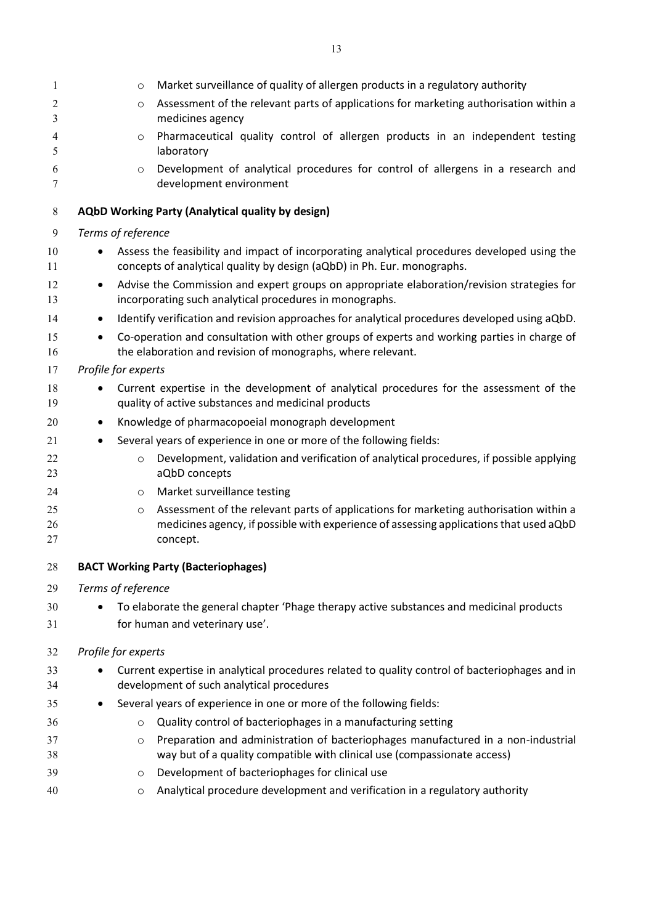<span id="page-11-1"></span><span id="page-11-0"></span>

| 1        | $\circ$                                                                                        | Market surveillance of quality of allergen products in a regulatory authority                                                                                           |  |
|----------|------------------------------------------------------------------------------------------------|-------------------------------------------------------------------------------------------------------------------------------------------------------------------------|--|
| 2        | $\circ$                                                                                        | Assessment of the relevant parts of applications for marketing authorisation within a                                                                                   |  |
| 3        |                                                                                                | medicines agency                                                                                                                                                        |  |
| 4<br>5   | $\circ$                                                                                        | Pharmaceutical quality control of allergen products in an independent testing<br>laboratory                                                                             |  |
| 6        | $\circ$                                                                                        | Development of analytical procedures for control of allergens in a research and                                                                                         |  |
| 7        |                                                                                                | development environment                                                                                                                                                 |  |
| 8        |                                                                                                | AQbD Working Party (Analytical quality by design)                                                                                                                       |  |
| 9        | Terms of reference                                                                             |                                                                                                                                                                         |  |
| 10<br>11 |                                                                                                | Assess the feasibility and impact of incorporating analytical procedures developed using the<br>concepts of analytical quality by design (aQbD) in Ph. Eur. monographs. |  |
| 12<br>13 | $\bullet$                                                                                      | Advise the Commission and expert groups on appropriate elaboration/revision strategies for<br>incorporating such analytical procedures in monographs.                   |  |
| 14       |                                                                                                | Identify verification and revision approaches for analytical procedures developed using aQbD.                                                                           |  |
| 15<br>16 |                                                                                                | Co-operation and consultation with other groups of experts and working parties in charge of<br>the elaboration and revision of monographs, where relevant.              |  |
| 17       | Profile for experts                                                                            |                                                                                                                                                                         |  |
| 18       |                                                                                                | Current expertise in the development of analytical procedures for the assessment of the                                                                                 |  |
| 19       | quality of active substances and medicinal products                                            |                                                                                                                                                                         |  |
| 20       |                                                                                                | Knowledge of pharmacopoeial monograph development                                                                                                                       |  |
| 21       |                                                                                                | Several years of experience in one or more of the following fields:                                                                                                     |  |
| 22<br>23 | $\circ$                                                                                        | Development, validation and verification of analytical procedures, if possible applying<br>aQbD concepts                                                                |  |
| 24       | $\circ$                                                                                        | Market surveillance testing                                                                                                                                             |  |
| 25       | $\circ$                                                                                        | Assessment of the relevant parts of applications for marketing authorisation within a                                                                                   |  |
| 26<br>27 |                                                                                                | medicines agency, if possible with experience of assessing applications that used aQbD<br>concept.                                                                      |  |
| 28       |                                                                                                | <b>BACT Working Party (Bacteriophages)</b>                                                                                                                              |  |
| 29       | Terms of reference                                                                             |                                                                                                                                                                         |  |
| 30       |                                                                                                | To elaborate the general chapter 'Phage therapy active substances and medicinal products                                                                                |  |
| 31       |                                                                                                | for human and veterinary use'.                                                                                                                                          |  |
| 32       | Profile for experts                                                                            |                                                                                                                                                                         |  |
| 33       | Current expertise in analytical procedures related to quality control of bacteriophages and in |                                                                                                                                                                         |  |
| 34       |                                                                                                | development of such analytical procedures                                                                                                                               |  |
| 35       | ٠                                                                                              | Several years of experience in one or more of the following fields:                                                                                                     |  |
| 36       | $\circ$                                                                                        | Quality control of bacteriophages in a manufacturing setting                                                                                                            |  |
| 37       | O                                                                                              | Preparation and administration of bacteriophages manufactured in a non-industrial                                                                                       |  |
| 38       |                                                                                                | way but of a quality compatible with clinical use (compassionate access)                                                                                                |  |
| 39       | O                                                                                              | Development of bacteriophages for clinical use                                                                                                                          |  |
| 40       | O                                                                                              | Analytical procedure development and verification in a regulatory authority                                                                                             |  |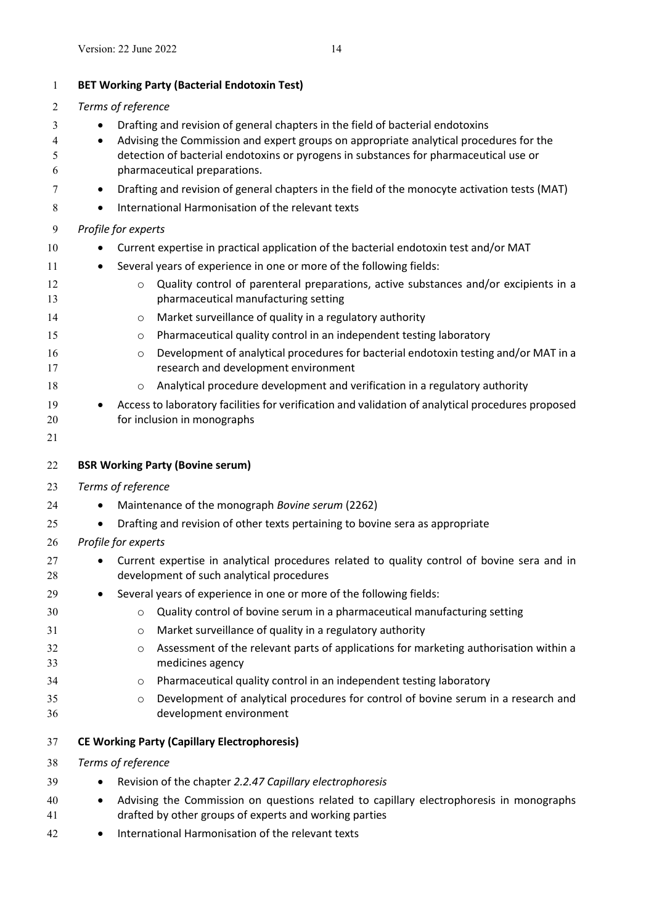<span id="page-12-2"></span><span id="page-12-1"></span><span id="page-12-0"></span>

| $\mathbf{1}$ | <b>BET Working Party (Bacterial Endotoxin Test)</b>                                                                                                            |                                                                                                                                         |  |  |
|--------------|----------------------------------------------------------------------------------------------------------------------------------------------------------------|-----------------------------------------------------------------------------------------------------------------------------------------|--|--|
| 2            |                                                                                                                                                                | Terms of reference                                                                                                                      |  |  |
| 3            |                                                                                                                                                                | Drafting and revision of general chapters in the field of bacterial endotoxins                                                          |  |  |
| 4            | $\bullet$                                                                                                                                                      | Advising the Commission and expert groups on appropriate analytical procedures for the                                                  |  |  |
| 5            |                                                                                                                                                                | detection of bacterial endotoxins or pyrogens in substances for pharmaceutical use or                                                   |  |  |
| 6            |                                                                                                                                                                | pharmaceutical preparations.                                                                                                            |  |  |
| 7            | $\bullet$                                                                                                                                                      | Drafting and revision of general chapters in the field of the monocyte activation tests (MAT)                                           |  |  |
| 8            |                                                                                                                                                                | International Harmonisation of the relevant texts                                                                                       |  |  |
| 9            |                                                                                                                                                                | Profile for experts                                                                                                                     |  |  |
| 10           |                                                                                                                                                                | Current expertise in practical application of the bacterial endotoxin test and/or MAT                                                   |  |  |
| 11           | $\bullet$                                                                                                                                                      | Several years of experience in one or more of the following fields:                                                                     |  |  |
| 12<br>13     |                                                                                                                                                                | Quality control of parenteral preparations, active substances and/or excipients in a<br>$\circ$<br>pharmaceutical manufacturing setting |  |  |
| 14           |                                                                                                                                                                | Market surveillance of quality in a regulatory authority<br>O                                                                           |  |  |
| 15           |                                                                                                                                                                | Pharmaceutical quality control in an independent testing laboratory<br>$\circ$                                                          |  |  |
| 16<br>17     |                                                                                                                                                                | Development of analytical procedures for bacterial endotoxin testing and/or MAT in a<br>$\circ$<br>research and development environment |  |  |
| 18           |                                                                                                                                                                | Analytical procedure development and verification in a regulatory authority<br>$\circ$                                                  |  |  |
| 19           |                                                                                                                                                                | Access to laboratory facilities for verification and validation of analytical procedures proposed                                       |  |  |
| 20           |                                                                                                                                                                | for inclusion in monographs                                                                                                             |  |  |
| 21           |                                                                                                                                                                |                                                                                                                                         |  |  |
| 22           |                                                                                                                                                                | <b>BSR Working Party (Bovine serum)</b>                                                                                                 |  |  |
| 23           |                                                                                                                                                                | Terms of reference                                                                                                                      |  |  |
| 24           | $\bullet$                                                                                                                                                      | Maintenance of the monograph Bovine serum (2262)                                                                                        |  |  |
| 25           |                                                                                                                                                                | Drafting and revision of other texts pertaining to bovine sera as appropriate                                                           |  |  |
| 26           |                                                                                                                                                                | Profile for experts                                                                                                                     |  |  |
| 27           |                                                                                                                                                                | Current expertise in analytical procedures related to quality control of bovine sera and in                                             |  |  |
| 28           |                                                                                                                                                                | development of such analytical procedures                                                                                               |  |  |
| 29           |                                                                                                                                                                | Several years of experience in one or more of the following fields:                                                                     |  |  |
| 30           |                                                                                                                                                                | Quality control of bovine serum in a pharmaceutical manufacturing setting<br>$\circ$                                                    |  |  |
| 31           |                                                                                                                                                                | Market surveillance of quality in a regulatory authority<br>$\circ$                                                                     |  |  |
| 32           |                                                                                                                                                                | Assessment of the relevant parts of applications for marketing authorisation within a<br>$\circ$                                        |  |  |
| 33           |                                                                                                                                                                | medicines agency                                                                                                                        |  |  |
| 34           |                                                                                                                                                                | Pharmaceutical quality control in an independent testing laboratory<br>O                                                                |  |  |
| 35<br>36     |                                                                                                                                                                | Development of analytical procedures for control of bovine serum in a research and<br>$\circ$<br>development environment                |  |  |
|              |                                                                                                                                                                |                                                                                                                                         |  |  |
| 37           |                                                                                                                                                                | <b>CE Working Party (Capillary Electrophoresis)</b>                                                                                     |  |  |
| 38           | Terms of reference                                                                                                                                             |                                                                                                                                         |  |  |
| 39           |                                                                                                                                                                | Revision of the chapter 2.2.47 Capillary electrophoresis                                                                                |  |  |
| 40<br>41     | Advising the Commission on questions related to capillary electrophoresis in monographs<br>$\bullet$<br>drafted by other groups of experts and working parties |                                                                                                                                         |  |  |
| 42           | $\bullet$                                                                                                                                                      | International Harmonisation of the relevant texts                                                                                       |  |  |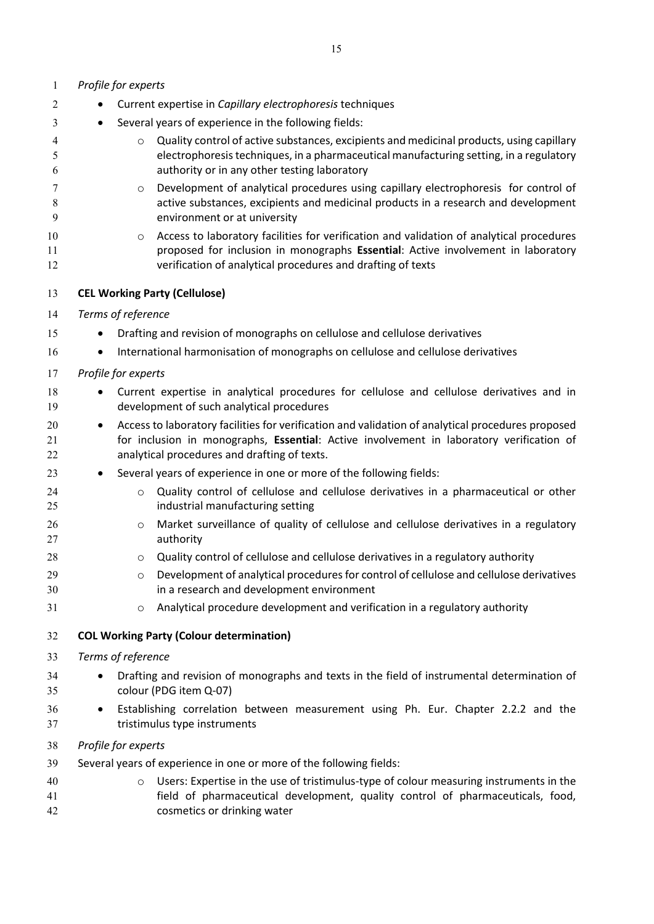<span id="page-13-1"></span><span id="page-13-0"></span>

| 1              | Profile for experts                                                                                                                                                                                                                                        |
|----------------|------------------------------------------------------------------------------------------------------------------------------------------------------------------------------------------------------------------------------------------------------------|
| 2              | Current expertise in Capillary electrophoresis techniques                                                                                                                                                                                                  |
| 3              | Several years of experience in the following fields:                                                                                                                                                                                                       |
| 4<br>5<br>6    | Quality control of active substances, excipients and medicinal products, using capillary<br>$\circ$<br>electrophoresis techniques, in a pharmaceutical manufacturing setting, in a regulatory<br>authority or in any other testing laboratory              |
| 7<br>8<br>9    | Development of analytical procedures using capillary electrophoresis for control of<br>$\circ$<br>active substances, excipients and medicinal products in a research and development<br>environment or at university                                       |
| 10<br>11<br>12 | Access to laboratory facilities for verification and validation of analytical procedures<br>$\circ$<br>proposed for inclusion in monographs Essential: Active involvement in laboratory<br>verification of analytical procedures and drafting of texts     |
| 13             | <b>CEL Working Party (Cellulose)</b>                                                                                                                                                                                                                       |
| 14             | Terms of reference                                                                                                                                                                                                                                         |
| 15             | Drafting and revision of monographs on cellulose and cellulose derivatives                                                                                                                                                                                 |
| 16             | International harmonisation of monographs on cellulose and cellulose derivatives<br>$\bullet$                                                                                                                                                              |
| 17             | Profile for experts                                                                                                                                                                                                                                        |
| 18<br>19       | Current expertise in analytical procedures for cellulose and cellulose derivatives and in<br>development of such analytical procedures                                                                                                                     |
| 20<br>21<br>22 | Access to laboratory facilities for verification and validation of analytical procedures proposed<br>$\bullet$<br>for inclusion in monographs, Essential: Active involvement in laboratory verification of<br>analytical procedures and drafting of texts. |
| 23             | Several years of experience in one or more of the following fields:                                                                                                                                                                                        |
| 24<br>25       | Quality control of cellulose and cellulose derivatives in a pharmaceutical or other<br>$\circ$<br>industrial manufacturing setting                                                                                                                         |
| 26<br>27       | Market surveillance of quality of cellulose and cellulose derivatives in a regulatory<br>$\circ$<br>authority                                                                                                                                              |
| 28             | Quality control of cellulose and cellulose derivatives in a regulatory authority<br>O                                                                                                                                                                      |
| 29<br>30       | Development of analytical procedures for control of cellulose and cellulose derivatives<br>$\circ$<br>in a research and development environment                                                                                                            |
| 31             | Analytical procedure development and verification in a regulatory authority<br>$\circ$                                                                                                                                                                     |
| 32             | <b>COL Working Party (Colour determination)</b>                                                                                                                                                                                                            |
| 33             | Terms of reference                                                                                                                                                                                                                                         |
| 34<br>35       | Drafting and revision of monographs and texts in the field of instrumental determination of<br>colour (PDG item Q-07)                                                                                                                                      |
| 36<br>37       | Establishing correlation between measurement using Ph. Eur. Chapter 2.2.2 and the<br>tristimulus type instruments                                                                                                                                          |
| 38             | Profile for experts                                                                                                                                                                                                                                        |
| 39             | Several years of experience in one or more of the following fields:                                                                                                                                                                                        |
| 40<br>41<br>42 | Users: Expertise in the use of tristimulus-type of colour measuring instruments in the<br>$\circ$<br>field of pharmaceutical development, quality control of pharmaceuticals, food,<br>cosmetics or drinking water                                         |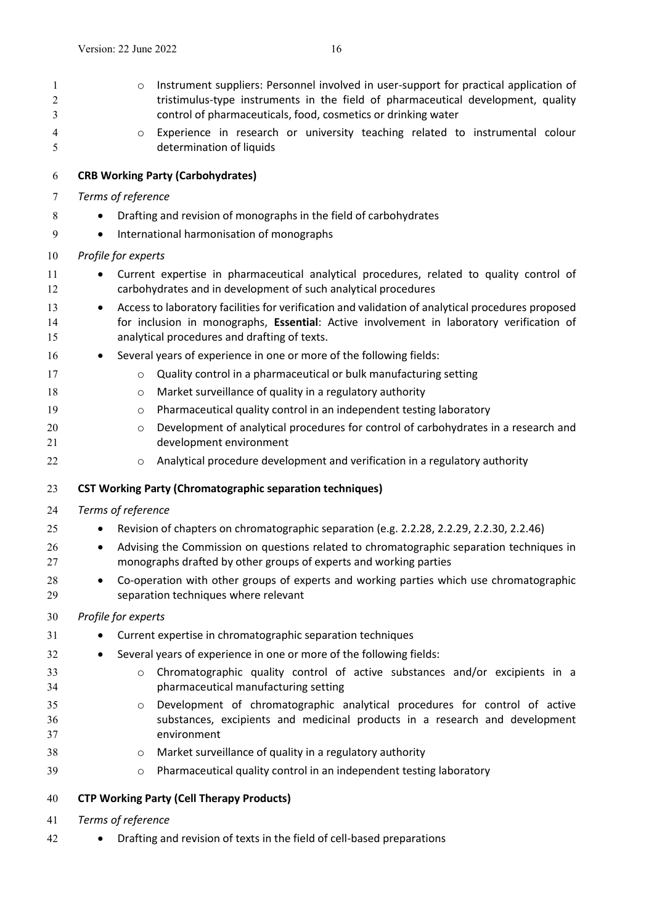<span id="page-14-0"></span> o Instrument suppliers: Personnel involved in user-support for practical application of 2 tristimulus-type instruments in the field of pharmaceutical development, quality control of pharmaceuticals, food, cosmetics or drinking water o Experience in research or university teaching related to instrumental colour determination of liquids **CRB Working Party (Carbohydrates)** *Terms of reference* 8 • Drafting and revision of monographs in the field of carbohydrates International harmonisation of monographs

### *Profile for experts*

- Current expertise in pharmaceutical analytical procedures, related to quality control of carbohydrates and in development of such analytical procedures
- **Access to laboratory facilities for verification and validation of analytical procedures proposed**  for inclusion in monographs, **Essential**: Active involvement in laboratory verification of analytical procedures and drafting of texts.
- 16 Several years of experience in one or more of the following fields:
- **o** Quality control in a pharmaceutical or bulk manufacturing setting
- **18** o Market surveillance of quality in a regulatory authority
- **o** Pharmaceutical quality control in an independent testing laboratory
- 20 o Development of analytical procedures for control of carbohydrates in a research and development environment
- <span id="page-14-1"></span>o Analytical procedure development and verification in a regulatory authority

#### **CST Working Party (Chromatographic separation techniques)**

#### *Terms of reference*

- **•** Revision of chapters on chromatographic separation (e.g. 2.2.28, 2.2.29, 2.2.30, 2.2.46)
- Advising the Commission on questions related to chromatographic separation techniques in monographs drafted by other groups of experts and working parties
- Co-operation with other groups of experts and working parties which use chromatographic separation techniques where relevant

### *Profile for experts*

- **•** Current expertise in chromatographic separation techniques
- 32 Several years of experience in one or more of the following fields:
- o Chromatographic quality control of active substances and/or excipients in a pharmaceutical manufacturing setting
- o Development of chromatographic analytical procedures for control of active substances, excipients and medicinal products in a research and development environment
- o Market surveillance of quality in a regulatory authority
- <span id="page-14-2"></span>o Pharmaceutical quality control in an independent testing laboratory

### **CTP Working Party (Cell Therapy Products)**

- *Terms of reference*
- Drafting and revision of texts in the field of cell-based preparations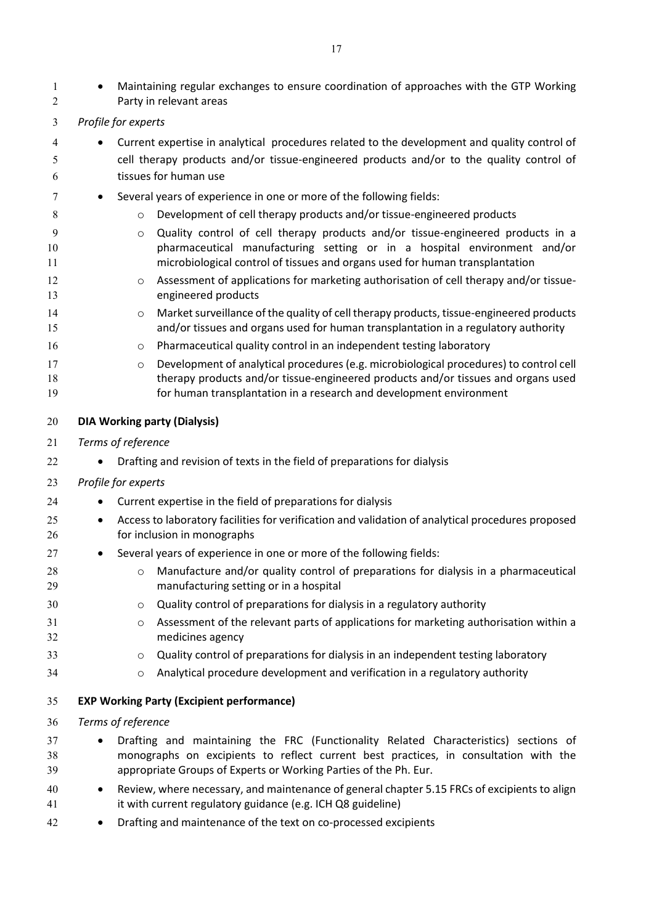<span id="page-15-1"></span><span id="page-15-0"></span>

| $\mathbf{1}$<br>2 |           |                     | Maintaining regular exchanges to ensure coordination of approaches with the GTP Working<br>Party in relevant areas                                                            |
|-------------------|-----------|---------------------|-------------------------------------------------------------------------------------------------------------------------------------------------------------------------------|
| 3                 |           | Profile for experts |                                                                                                                                                                               |
| 4                 |           |                     | Current expertise in analytical procedures related to the development and quality control of                                                                                  |
| 5                 |           |                     | cell therapy products and/or tissue-engineered products and/or to the quality control of                                                                                      |
| 6                 |           |                     | tissues for human use                                                                                                                                                         |
| 7                 |           |                     | Several years of experience in one or more of the following fields:                                                                                                           |
| 8                 |           | $\circ$             | Development of cell therapy products and/or tissue-engineered products                                                                                                        |
| 9                 |           | $\circ$             | Quality control of cell therapy products and/or tissue-engineered products in a                                                                                               |
| 10<br>11          |           |                     | pharmaceutical manufacturing setting or in a hospital environment and/or<br>microbiological control of tissues and organs used for human transplantation                      |
| 12<br>13          |           | O                   | Assessment of applications for marketing authorisation of cell therapy and/or tissue-<br>engineered products                                                                  |
| 14<br>15          |           | O                   | Market surveillance of the quality of cell therapy products, tissue-engineered products<br>and/or tissues and organs used for human transplantation in a regulatory authority |
| 16                |           | O                   | Pharmaceutical quality control in an independent testing laboratory                                                                                                           |
| 17                |           | $\circ$             | Development of analytical procedures (e.g. microbiological procedures) to control cell                                                                                        |
| 18<br>19          |           |                     | therapy products and/or tissue-engineered products and/or tissues and organs used<br>for human transplantation in a research and development environment                      |
| 20                |           |                     | <b>DIA Working party (Dialysis)</b>                                                                                                                                           |
| 21                |           | Terms of reference  |                                                                                                                                                                               |
| 22                |           |                     | Drafting and revision of texts in the field of preparations for dialysis                                                                                                      |
| 23                |           | Profile for experts |                                                                                                                                                                               |
| 24                | ٠         |                     | Current expertise in the field of preparations for dialysis                                                                                                                   |
| 25<br>26          | $\bullet$ |                     | Access to laboratory facilities for verification and validation of analytical procedures proposed<br>for inclusion in monographs                                              |
| 27                |           |                     | Several years of experience in one or more of the following fields:                                                                                                           |
| 28<br>29          |           | O                   | Manufacture and/or quality control of preparations for dialysis in a pharmaceutical<br>manufacturing setting or in a hospital                                                 |
| 30                |           | O                   | Quality control of preparations for dialysis in a regulatory authority                                                                                                        |
| 31                |           | O                   | Assessment of the relevant parts of applications for marketing authorisation within a                                                                                         |
| 32                |           |                     | medicines agency                                                                                                                                                              |
| 33                |           | O                   | Quality control of preparations for dialysis in an independent testing laboratory                                                                                             |
| 34                |           | $\circ$             | Analytical procedure development and verification in a regulatory authority                                                                                                   |
| 35                |           |                     | <b>EXP Working Party (Excipient performance)</b>                                                                                                                              |
| 36                |           | Terms of reference  |                                                                                                                                                                               |
| 37                |           |                     | Drafting and maintaining the FRC (Functionality Related Characteristics) sections of                                                                                          |
| 38                |           |                     | monographs on excipients to reflect current best practices, in consultation with the                                                                                          |
| 39                |           |                     | appropriate Groups of Experts or Working Parties of the Ph. Eur.                                                                                                              |
| 40<br>41          |           |                     | Review, where necessary, and maintenance of general chapter 5.15 FRCs of excipients to align<br>it with current regulatory guidance (e.g. ICH Q8 guideline)                   |
| 42                | $\bullet$ |                     | Drafting and maintenance of the text on co-processed excipients                                                                                                               |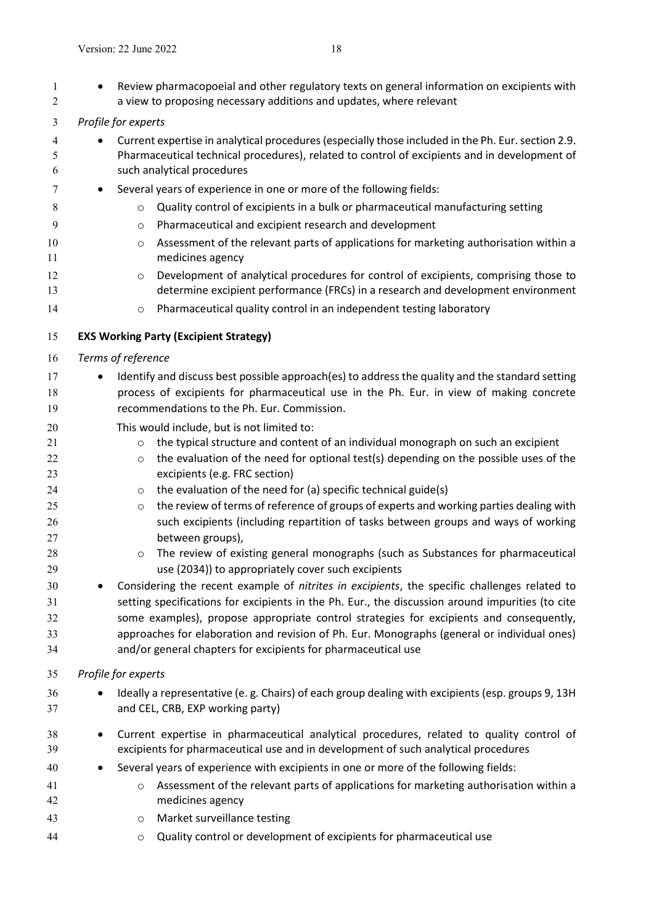<span id="page-16-0"></span>1 • Review pharmacopoeial and other regulatory texts on general information on excipients with a view to proposing necessary additions and updates, where relevant *Profile for experts*  4 Current expertise in analytical procedures (especially those included in the Ph. Eur. section 2.9. Pharmaceutical technical procedures), related to control of excipients and in development of such analytical procedures 7 • Several years of experience in one or more of the following fields: **3 o** Quality control of excipients in a bulk or pharmaceutical manufacturing setting o Pharmaceutical and excipient research and development **o** Assessment of the relevant parts of applications for marketing authorisation within a medicines agency 12 o Development of analytical procedures for control of excipients, comprising those to determine excipient performance (FRCs) in a research and development environment **o** Pharmaceutical quality control in an independent testing laboratory **EXS Working Party (Excipient Strategy)** *Terms of reference* **Identify and discuss best possible approach(es) to address the quality and the standard setting**  process of excipients for pharmaceutical use in the Ph. Eur. in view of making concrete recommendations to the Ph. Eur. Commission. This would include, but is not limited to: 21 o the typical structure and content of an individual monograph on such an excipient 22 o the evaluation of the need for optional test(s) depending on the possible uses of the excipients (e.g. FRC section)  $\circ$  the evaluation of the need for (a) specific technical guide(s) 25 o the review of terms of reference of groups of experts and working parties dealing with such excipients (including repartition of tasks between groups and ways of working between groups), **b**  $\circ$  The review of existing general monographs (such as Substances for pharmaceutical use (2034)) to appropriately cover such excipients Considering the recent example of *nitrites in excipients*, the specific challenges related to setting specifications for excipients in the Ph. Eur., the discussion around impurities (to cite some examples), propose appropriate control strategies for excipients and consequently, approaches for elaboration and revision of Ph. Eur. Monographs (general or individual ones) and/or general chapters for excipients for pharmaceutical use *Profile for experts* **Ideally a representative (e. g. Chairs) of each group dealing with excipients (esp. groups 9, 13H**  and CEL, CRB, EXP working party) Current expertise in pharmaceutical analytical procedures, related to quality control of excipients for pharmaceutical use and in development of such analytical procedures Several years of experience with excipients in one or more of the following fields: o Assessment of the relevant parts of applications for marketing authorisation within a medicines agency o Market surveillance testing o Quality control or development of excipients for pharmaceutical use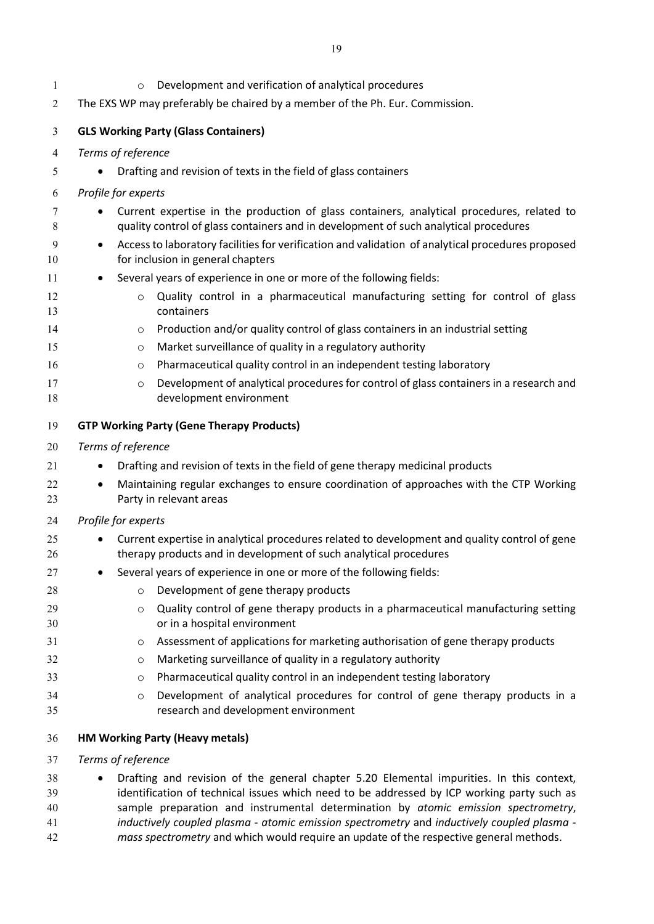<span id="page-17-1"></span><span id="page-17-0"></span>

| 1        | Development and verification of analytical procedures<br>$\circ$                                                                            |
|----------|---------------------------------------------------------------------------------------------------------------------------------------------|
| 2        | The EXS WP may preferably be chaired by a member of the Ph. Eur. Commission.                                                                |
| 3        | <b>GLS Working Party (Glass Containers)</b>                                                                                                 |
| 4        | Terms of reference                                                                                                                          |
| 5        | Drafting and revision of texts in the field of glass containers                                                                             |
| 6        | Profile for experts                                                                                                                         |
| 7        | Current expertise in the production of glass containers, analytical procedures, related to                                                  |
| 8        | quality control of glass containers and in development of such analytical procedures                                                        |
| 9<br>10  | Access to laboratory facilities for verification and validation of analytical procedures proposed<br>٠<br>for inclusion in general chapters |
| 11       | Several years of experience in one or more of the following fields:<br>٠                                                                    |
| 12<br>13 | Quality control in a pharmaceutical manufacturing setting for control of glass<br>$\circ$<br>containers                                     |
| 14       | Production and/or quality control of glass containers in an industrial setting<br>O                                                         |
| 15       | Market surveillance of quality in a regulatory authority<br>$\circ$                                                                         |
| 16       | Pharmaceutical quality control in an independent testing laboratory<br>$\circ$                                                              |
| 17       | Development of analytical procedures for control of glass containers in a research and<br>$\circ$                                           |
| 18       | development environment                                                                                                                     |
| 19       | <b>GTP Working Party (Gene Therapy Products)</b>                                                                                            |
| 20       | Terms of reference                                                                                                                          |
| 21       | Drafting and revision of texts in the field of gene therapy medicinal products                                                              |
| 22<br>23 | Maintaining regular exchanges to ensure coordination of approaches with the CTP Working<br>٠<br>Party in relevant areas                     |
| 24       | Profile for experts                                                                                                                         |
| 25       | Current expertise in analytical procedures related to development and quality control of gene                                               |
| 26       | therapy products and in development of such analytical procedures                                                                           |
| 27       | Several years of experience in one or more of the following fields:                                                                         |
| 28       | Development of gene therapy products<br>$\circ$                                                                                             |
| 29       | Quality control of gene therapy products in a pharmaceutical manufacturing setting<br>$\circ$                                               |
| 30       | or in a hospital environment                                                                                                                |
| 31       | Assessment of applications for marketing authorisation of gene therapy products<br>$\circ$                                                  |
| 32       | Marketing surveillance of quality in a regulatory authority<br>$\circ$                                                                      |
| 33       | Pharmaceutical quality control in an independent testing laboratory<br>O                                                                    |
| 34<br>35 | Development of analytical procedures for control of gene therapy products in a<br>$\circ$<br>research and development environment           |
| 36       | <b>HM Working Party (Heavy metals)</b>                                                                                                      |
| 37       | Terms of reference                                                                                                                          |
| 38       | Drafting and revision of the general chapter 5.20 Elemental impurities. In this context,                                                    |
| 39       | identification of technical issues which need to be addressed by ICP working party such as                                                  |
| 40       | sample preparation and instrumental determination by atomic emission spectrometry,                                                          |

- <span id="page-17-2"></span>*inductively coupled plasma - atomic emission spectrometry* and *inductively coupled plasma -*
- mass spectrometry and which would require an update of the respective general methods.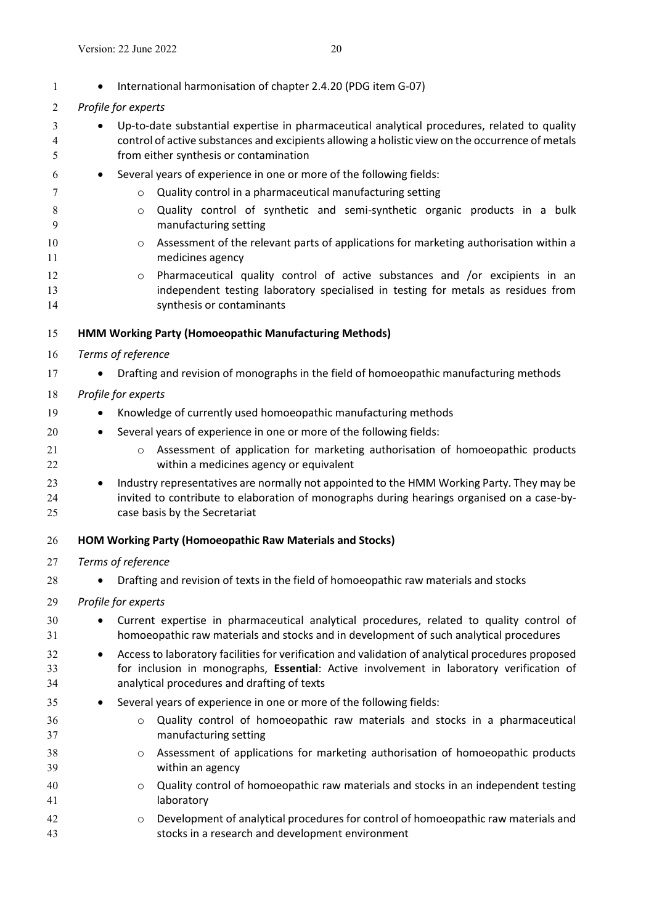<span id="page-18-1"></span><span id="page-18-0"></span>

| 1              | International harmonisation of chapter 2.4.20 (PDG item G-07)                                                                                                                                                                                     |
|----------------|---------------------------------------------------------------------------------------------------------------------------------------------------------------------------------------------------------------------------------------------------|
| $\overline{c}$ | Profile for experts                                                                                                                                                                                                                               |
| 3<br>4<br>5    | Up-to-date substantial expertise in pharmaceutical analytical procedures, related to quality<br>control of active substances and excipients allowing a holistic view on the occurrence of metals<br>from either synthesis or contamination        |
| 6              | Several years of experience in one or more of the following fields:                                                                                                                                                                               |
| 7              | Quality control in a pharmaceutical manufacturing setting<br>$\circ$                                                                                                                                                                              |
| 8<br>9         | Quality control of synthetic and semi-synthetic organic products in a bulk<br>$\circ$<br>manufacturing setting                                                                                                                                    |
| 10<br>11       | Assessment of the relevant parts of applications for marketing authorisation within a<br>$\circ$<br>medicines agency                                                                                                                              |
| 12<br>13<br>14 | Pharmaceutical quality control of active substances and /or excipients in an<br>$\circ$<br>independent testing laboratory specialised in testing for metals as residues from<br>synthesis or contaminants                                         |
| 15             | HMM Working Party (Homoeopathic Manufacturing Methods)                                                                                                                                                                                            |
| 16             | Terms of reference                                                                                                                                                                                                                                |
| 17             | Drafting and revision of monographs in the field of homoeopathic manufacturing methods                                                                                                                                                            |
| 18             | Profile for experts                                                                                                                                                                                                                               |
| 19             | Knowledge of currently used homoeopathic manufacturing methods                                                                                                                                                                                    |
| 20             | Several years of experience in one or more of the following fields:                                                                                                                                                                               |
| 21<br>22       | Assessment of application for marketing authorisation of homoeopathic products<br>$\circ$<br>within a medicines agency or equivalent                                                                                                              |
| 23<br>24<br>25 | Industry representatives are normally not appointed to the HMM Working Party. They may be<br>$\bullet$<br>invited to contribute to elaboration of monographs during hearings organised on a case-by-<br>case basis by the Secretariat             |
| 26             | HOM Working Party (Homoeopathic Raw Materials and Stocks)                                                                                                                                                                                         |
| 27             | Terms of reference                                                                                                                                                                                                                                |
| 28             | Drafting and revision of texts in the field of homoeopathic raw materials and stocks                                                                                                                                                              |
| 29             | Profile for experts                                                                                                                                                                                                                               |
| 30<br>31       | Current expertise in pharmaceutical analytical procedures, related to quality control of<br>homoeopathic raw materials and stocks and in development of such analytical procedures                                                                |
| 32<br>33<br>34 | Access to laboratory facilities for verification and validation of analytical procedures proposed<br>٠<br>for inclusion in monographs, Essential: Active involvement in laboratory verification of<br>analytical procedures and drafting of texts |
| 35             | Several years of experience in one or more of the following fields:                                                                                                                                                                               |
| 36<br>37       | Quality control of homoeopathic raw materials and stocks in a pharmaceutical<br>$\circ$<br>manufacturing setting                                                                                                                                  |
| 38<br>39       | Assessment of applications for marketing authorisation of homoeopathic products<br>O<br>within an agency                                                                                                                                          |
| 40<br>41       | Quality control of homoeopathic raw materials and stocks in an independent testing<br>$\circ$<br>laboratory                                                                                                                                       |
| 42<br>43       | Development of analytical procedures for control of homoeopathic raw materials and<br>O<br>stocks in a research and development environment                                                                                                       |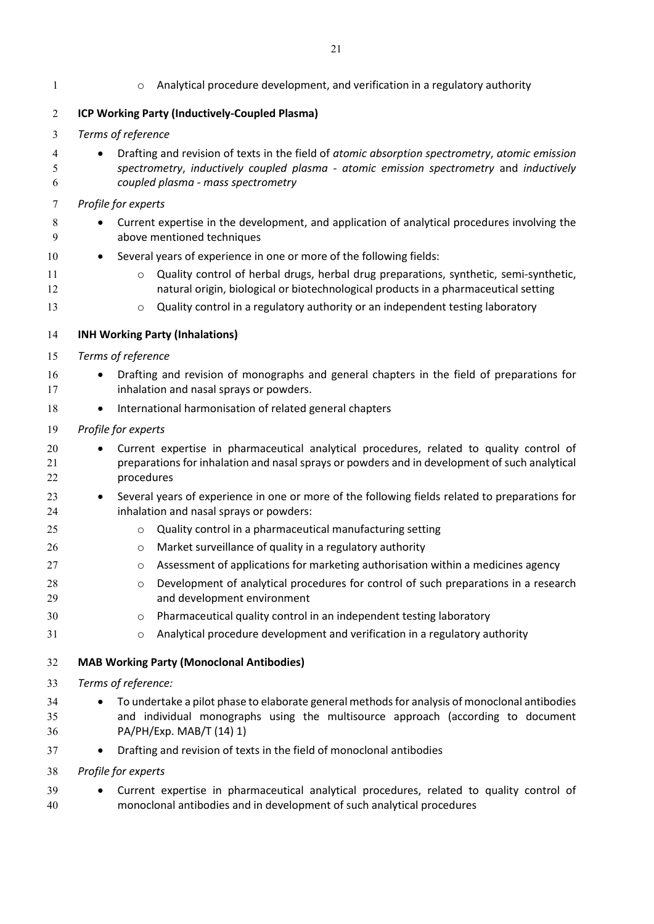<span id="page-19-2"></span><span id="page-19-1"></span><span id="page-19-0"></span>

| $\mathbf{1}$   | Analytical procedure development, and verification in a regulatory authority<br>$\circ$                                                                                                                                                                                              |
|----------------|--------------------------------------------------------------------------------------------------------------------------------------------------------------------------------------------------------------------------------------------------------------------------------------|
| $\overline{2}$ | ICP Working Party (Inductively-Coupled Plasma)                                                                                                                                                                                                                                       |
| 3              | Terms of reference                                                                                                                                                                                                                                                                   |
| 4<br>5<br>6    | Drafting and revision of texts in the field of atomic absorption spectrometry, atomic emission<br>spectrometry, inductively coupled plasma - atomic emission spectrometry and inductively<br>coupled plasma - mass spectrometry                                                      |
| 7              | Profile for experts                                                                                                                                                                                                                                                                  |
| 8<br>9         | Current expertise in the development, and application of analytical procedures involving the<br>above mentioned techniques                                                                                                                                                           |
| 10             | Several years of experience in one or more of the following fields:                                                                                                                                                                                                                  |
| 11<br>12<br>13 | Quality control of herbal drugs, herbal drug preparations, synthetic, semi-synthetic,<br>$\circ$<br>natural origin, biological or biotechnological products in a pharmaceutical setting<br>Quality control in a regulatory authority or an independent testing laboratory<br>$\circ$ |
| 14             | <b>INH Working Party (Inhalations)</b>                                                                                                                                                                                                                                               |
| 15             | Terms of reference                                                                                                                                                                                                                                                                   |
| 16<br>17       | Drafting and revision of monographs and general chapters in the field of preparations for<br>inhalation and nasal sprays or powders.                                                                                                                                                 |
| 18             | International harmonisation of related general chapters                                                                                                                                                                                                                              |
| 19             | Profile for experts                                                                                                                                                                                                                                                                  |
| 20<br>21<br>22 | Current expertise in pharmaceutical analytical procedures, related to quality control of<br>preparations for inhalation and nasal sprays or powders and in development of such analytical<br>procedures                                                                              |
| 23<br>24       | Several years of experience in one or more of the following fields related to preparations for<br>inhalation and nasal sprays or powders:                                                                                                                                            |
| 25             | Quality control in a pharmaceutical manufacturing setting<br>$\circ$                                                                                                                                                                                                                 |
| 26             | Market surveillance of quality in a regulatory authority<br>$\circ$                                                                                                                                                                                                                  |
| 27             | o Assessment of applications for marketing authorisation within a medicines agency                                                                                                                                                                                                   |
| 28<br>29       | Development of analytical procedures for control of such preparations in a research<br>$\circ$<br>and development environment                                                                                                                                                        |
| 30             | Pharmaceutical quality control in an independent testing laboratory<br>O                                                                                                                                                                                                             |
| 31             | Analytical procedure development and verification in a regulatory authority<br>O                                                                                                                                                                                                     |
| 32             | <b>MAB Working Party (Monoclonal Antibodies)</b>                                                                                                                                                                                                                                     |
| 33             | Terms of reference:                                                                                                                                                                                                                                                                  |
| 34<br>35<br>36 | To undertake a pilot phase to elaborate general methods for analysis of monoclonal antibodies<br>and individual monographs using the multisource approach (according to document<br>PA/PH/Exp. MAB/T (14) 1)                                                                         |
| 37             | Drafting and revision of texts in the field of monoclonal antibodies                                                                                                                                                                                                                 |
| 38             | Profile for experts                                                                                                                                                                                                                                                                  |
| 39<br>40       | Current expertise in pharmaceutical analytical procedures, related to quality control of<br>monoclonal antibodies and in development of such analytical procedures                                                                                                                   |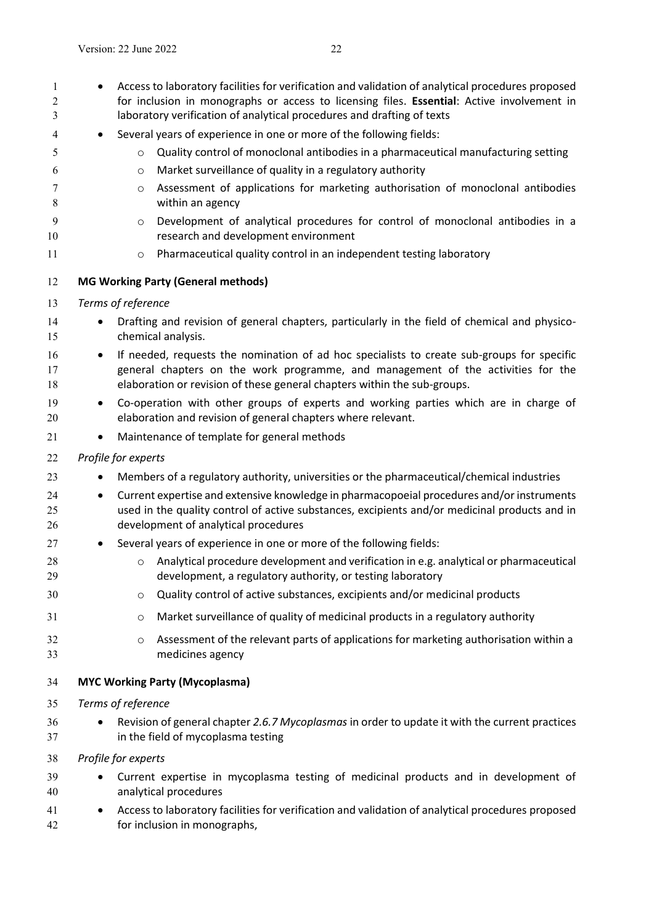<span id="page-20-1"></span><span id="page-20-0"></span>1 • Access to laboratory facilities for verification and validation of analytical procedures proposed for inclusion in monographs or access to licensing files. **Essential**: Active involvement in laboratory verification of analytical procedures and drafting of texts Several years of experience in one or more of the following fields: o Quality control of monoclonal antibodies in a pharmaceutical manufacturing setting o Market surveillance of quality in a regulatory authority o Assessment of applications for marketing authorisation of monoclonal antibodies within an agency o Development of analytical procedures for control of monoclonal antibodies in a research and development environment **b Pharmaceutical quality control in an independent testing laboratory MG Working Party (General methods)**  *Terms of reference* 14 • Drafting and revision of general chapters, particularly in the field of chemical and physico- chemical analysis. 16 • If needed, requests the nomination of ad hoc specialists to create sub-groups for specific general chapters on the work programme, and management of the activities for the elaboration or revision of these general chapters within the sub-groups. Co-operation with other groups of experts and working parties which are in charge of elaboration and revision of general chapters where relevant. 21 • Maintenance of template for general methods *Profile for experts*  23 Members of a regulatory authority, universities or the pharmaceutical/chemical industries Current expertise and extensive knowledge in pharmacopoeial procedures and/or instruments used in the quality control of active substances, excipients and/or medicinal products and in development of analytical procedures Several years of experience in one or more of the following fields: **o** Analytical procedure development and verification in e.g. analytical or pharmaceutical development, a regulatory authority, or testing laboratory o Quality control of active substances, excipients and/or medicinal products o Market surveillance of quality of medicinal products in a regulatory authority o Assessment of the relevant parts of applications for marketing authorisation within a medicines agency **MYC Working Party (Mycoplasma)** *Terms of reference* Revision of general chapter *2.6.7 Mycoplasmas* in order to update it with the current practices in the field of mycoplasma testing *Profile for experts* Current expertise in mycoplasma testing of medicinal products and in development of analytical procedures Access to laboratory facilities for verification and validation of analytical procedures proposed for inclusion in monographs,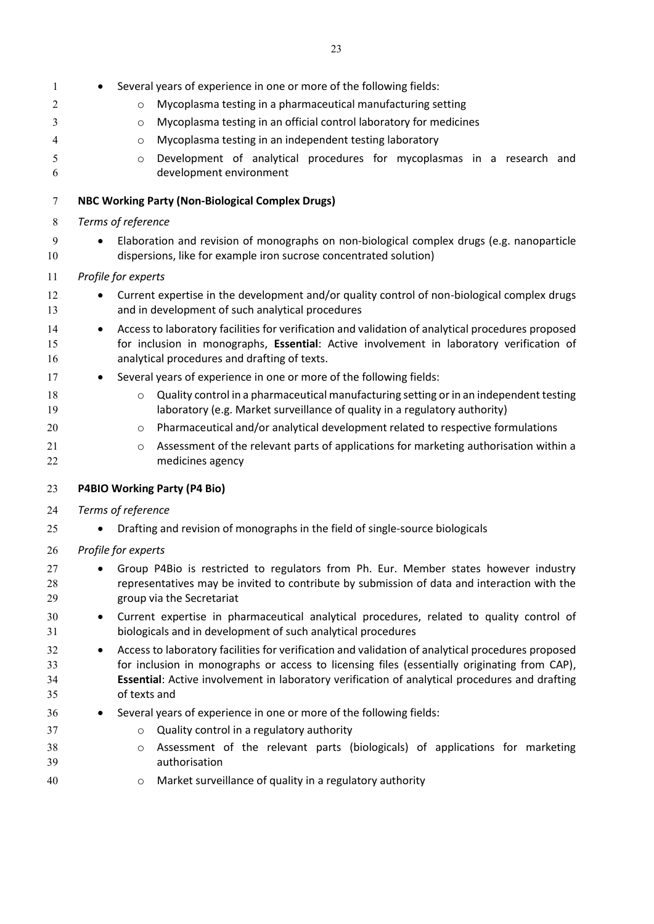<span id="page-21-1"></span><span id="page-21-0"></span>

| 1              | Several years of experience in one or more of the following fields:                                                                                                                                                                                        |
|----------------|------------------------------------------------------------------------------------------------------------------------------------------------------------------------------------------------------------------------------------------------------------|
| 2              | Mycoplasma testing in a pharmaceutical manufacturing setting<br>$\circ$                                                                                                                                                                                    |
| 3              | Mycoplasma testing in an official control laboratory for medicines<br>$\circ$                                                                                                                                                                              |
| 4              | Mycoplasma testing in an independent testing laboratory<br>$\circ$                                                                                                                                                                                         |
| 5              | Development of analytical procedures for mycoplasmas in a research and<br>$\circ$                                                                                                                                                                          |
| 6              | development environment                                                                                                                                                                                                                                    |
| 7              | <b>NBC Working Party (Non-Biological Complex Drugs)</b>                                                                                                                                                                                                    |
| 8              | Terms of reference                                                                                                                                                                                                                                         |
| 9<br>10        | Elaboration and revision of monographs on non-biological complex drugs (e.g. nanoparticle<br>dispersions, like for example iron sucrose concentrated solution)                                                                                             |
| 11             | Profile for experts                                                                                                                                                                                                                                        |
| 12<br>13       | Current expertise in the development and/or quality control of non-biological complex drugs<br>and in development of such analytical procedures                                                                                                            |
| 14<br>15<br>16 | Access to laboratory facilities for verification and validation of analytical procedures proposed<br>$\bullet$<br>for inclusion in monographs, Essential: Active involvement in laboratory verification of<br>analytical procedures and drafting of texts. |
| 17             | Several years of experience in one or more of the following fields:                                                                                                                                                                                        |
| 18             | Quality control in a pharmaceutical manufacturing setting or in an independent testing<br>$\circ$                                                                                                                                                          |
| 19             | laboratory (e.g. Market surveillance of quality in a regulatory authority)                                                                                                                                                                                 |
| 20             | Pharmaceutical and/or analytical development related to respective formulations<br>O                                                                                                                                                                       |
| 21             | Assessment of the relevant parts of applications for marketing authorisation within a<br>$\circ$                                                                                                                                                           |
| 22             | medicines agency                                                                                                                                                                                                                                           |
| 23             | P4BIO Working Party (P4 Bio)                                                                                                                                                                                                                               |
| 24             | Terms of reference                                                                                                                                                                                                                                         |
| 25             | Drafting and revision of monographs in the field of single-source biologicals                                                                                                                                                                              |
| 26             | Profile for experts                                                                                                                                                                                                                                        |
| 27             | Group P4Bio is restricted to regulators from Ph. Eur. Member states however industry                                                                                                                                                                       |
| 28             | representatives may be invited to contribute by submission of data and interaction with the                                                                                                                                                                |
| 29             | group via the Secretariat                                                                                                                                                                                                                                  |
| 30<br>31       | Current expertise in pharmaceutical analytical procedures, related to quality control of<br>٠<br>biologicals and in development of such analytical procedures                                                                                              |
| 32             | Access to laboratory facilities for verification and validation of analytical procedures proposed<br>$\bullet$                                                                                                                                             |
| 33             | for inclusion in monographs or access to licensing files (essentially originating from CAP),                                                                                                                                                               |
| 34<br>35       | Essential: Active involvement in laboratory verification of analytical procedures and drafting<br>of texts and                                                                                                                                             |
| 36             | Several years of experience in one or more of the following fields:                                                                                                                                                                                        |
| 37             | Quality control in a regulatory authority<br>$\circ$                                                                                                                                                                                                       |
| 38             | Assessment of the relevant parts (biologicals) of applications for marketing<br>$\circ$                                                                                                                                                                    |
| 39             | authorisation                                                                                                                                                                                                                                              |
| 40             | Market surveillance of quality in a regulatory authority<br>$\circ$                                                                                                                                                                                        |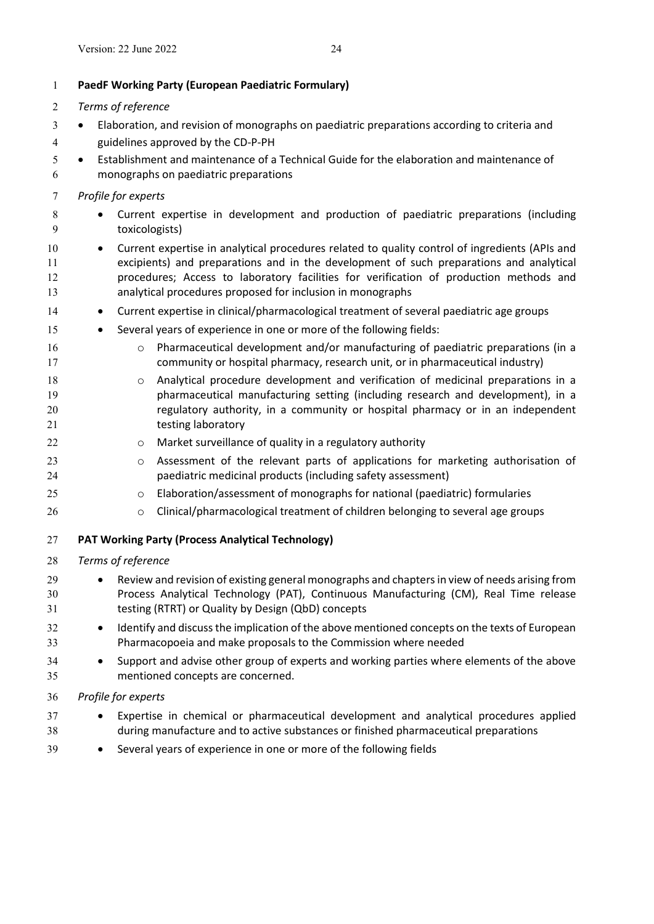*Terms of reference*

<span id="page-22-0"></span>**PaedF Working Party (European Paediatric Formulary)**

Elaboration, and revision of monographs on paediatric preparations according to criteria and

# <span id="page-22-1"></span> guidelines approved by the CD-P-PH Establishment and maintenance of a Technical Guide for the elaboration and maintenance of monographs on paediatric preparations *Profile for experts* 8 • Current expertise in development and production of paediatric preparations (including toxicologists) Current expertise in analytical procedures related to quality control of ingredients (APIs and excipients) and preparations and in the development of such preparations and analytical procedures; Access to laboratory facilities for verification of production methods and analytical procedures proposed for inclusion in monographs **•** Current expertise in clinical/pharmacological treatment of several paediatric age groups 15 • Several years of experience in one or more of the following fields: o Pharmaceutical development and/or manufacturing of paediatric preparations (in a community or hospital pharmacy, research unit, or in pharmaceutical industry) **o** Analytical procedure development and verification of medicinal preparations in a pharmaceutical manufacturing setting (including research and development), in a regulatory authority, in a community or hospital pharmacy or in an independent 21 testing laboratory **b Comarket surveillance of quality in a regulatory authority**  o Assessment of the relevant parts of applications for marketing authorisation of paediatric medicinal products (including safety assessment) o Elaboration/assessment of monographs for national (paediatric) formularies clinical/pharmacological treatment of children belonging to several age groups **PAT Working Party (Process Analytical Technology)** *Terms of reference* Review and revision of existing general monographs and chapters in view of needs arising from Process Analytical Technology (PAT), Continuous Manufacturing (CM), Real Time release testing (RTRT) or Quality by Design (QbD) concepts **IDENTIFY And discuss the implication of the above mentioned concepts on the texts of European**  Pharmacopoeia and make proposals to the Commission where needed Support and advise other group of experts and working parties where elements of the above mentioned concepts are concerned. *Profile for experts* Expertise in chemical or pharmaceutical development and analytical procedures applied during manufacture and to active substances or finished pharmaceutical preparations Several years of experience in one or more of the following fields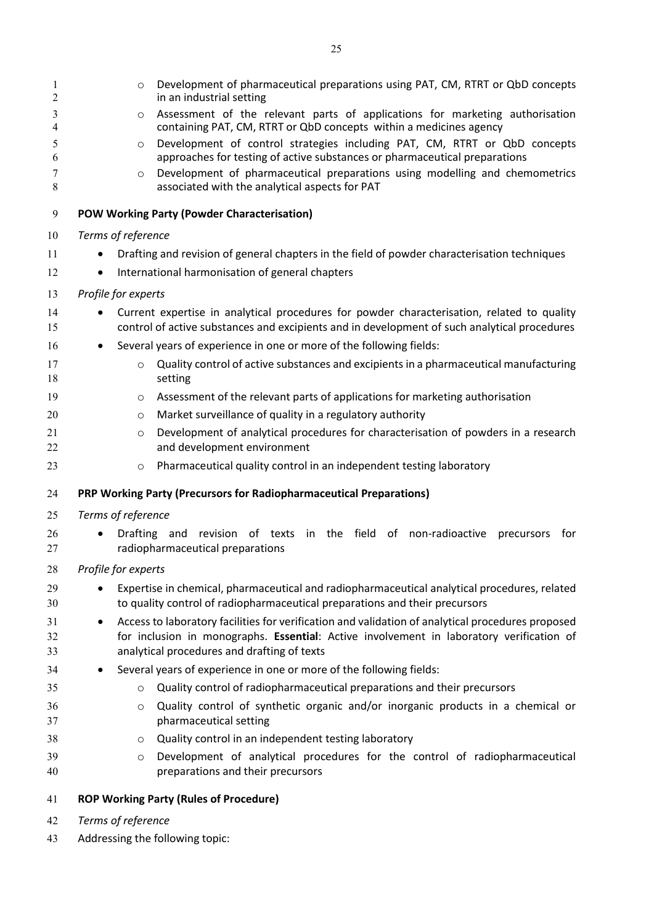<span id="page-23-0"></span>

| 1<br>2         | Development of pharmaceutical preparations using PAT, CM, RTRT or QbD concepts<br>$\circ$<br>in an industrial setting                                                                                                                             |
|----------------|---------------------------------------------------------------------------------------------------------------------------------------------------------------------------------------------------------------------------------------------------|
| 3<br>4         | Assessment of the relevant parts of applications for marketing authorisation<br>O<br>containing PAT, CM, RTRT or QbD concepts within a medicines agency                                                                                           |
| 5<br>6         | Development of control strategies including PAT, CM, RTRT or QbD concepts<br>$\circ$<br>approaches for testing of active substances or pharmaceutical preparations                                                                                |
| 7<br>8         | Development of pharmaceutical preparations using modelling and chemometrics<br>O<br>associated with the analytical aspects for PAT                                                                                                                |
| 9              | <b>POW Working Party (Powder Characterisation)</b>                                                                                                                                                                                                |
| 10             | Terms of reference                                                                                                                                                                                                                                |
| 11             | Drafting and revision of general chapters in the field of powder characterisation techniques                                                                                                                                                      |
| 12             | International harmonisation of general chapters<br>$\bullet$                                                                                                                                                                                      |
| 13             | Profile for experts                                                                                                                                                                                                                               |
| 14             | Current expertise in analytical procedures for powder characterisation, related to quality                                                                                                                                                        |
| 15             | control of active substances and excipients and in development of such analytical procedures                                                                                                                                                      |
| 16             | Several years of experience in one or more of the following fields:                                                                                                                                                                               |
| 17             | Quality control of active substances and excipients in a pharmaceutical manufacturing<br>$\circ$                                                                                                                                                  |
| 18             | setting                                                                                                                                                                                                                                           |
| 19             | Assessment of the relevant parts of applications for marketing authorisation<br>O                                                                                                                                                                 |
| 20             | Market surveillance of quality in a regulatory authority<br>$\circ$                                                                                                                                                                               |
| 21<br>22       | Development of analytical procedures for characterisation of powders in a research<br>$\circ$<br>and development environment                                                                                                                      |
| 23             | Pharmaceutical quality control in an independent testing laboratory<br>O                                                                                                                                                                          |
| 24             | PRP Working Party (Precursors for Radiopharmaceutical Preparations)                                                                                                                                                                               |
| 25             | Terms of reference                                                                                                                                                                                                                                |
| 26<br>27       | Drafting and revision of texts in the field of non-radioactive<br>for<br>precursors<br>$\bullet$<br>radiopharmaceutical preparations                                                                                                              |
| 28             | Profile for experts                                                                                                                                                                                                                               |
| 29<br>30       | Expertise in chemical, pharmaceutical and radiopharmaceutical analytical procedures, related<br>to quality control of radiopharmaceutical preparations and their precursors                                                                       |
| 31<br>32<br>33 | Access to laboratory facilities for verification and validation of analytical procedures proposed<br>٠<br>for inclusion in monographs. Essential: Active involvement in laboratory verification of<br>analytical procedures and drafting of texts |
| 34             | Several years of experience in one or more of the following fields:<br>٠                                                                                                                                                                          |
| 35             | Quality control of radiopharmaceutical preparations and their precursors<br>$\circ$                                                                                                                                                               |
| 36<br>37       | Quality control of synthetic organic and/or inorganic products in a chemical or<br>O<br>pharmaceutical setting                                                                                                                                    |
| 38             | Quality control in an independent testing laboratory<br>O                                                                                                                                                                                         |
| 39<br>40       | Development of analytical procedures for the control of radiopharmaceutical<br>$\circ$<br>preparations and their precursors                                                                                                                       |
| 41             | <b>ROP Working Party (Rules of Procedure)</b>                                                                                                                                                                                                     |

- <span id="page-23-2"></span><span id="page-23-1"></span>*Terms of reference*
- Addressing the following topic: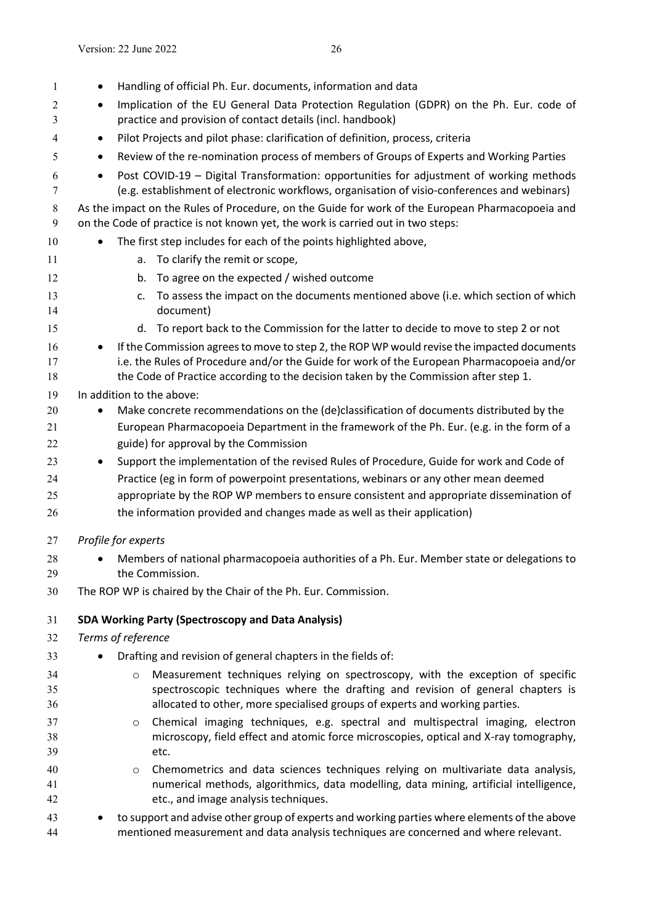<span id="page-24-0"></span>

| 1            |           | Handling of official Ph. Eur. documents, information and data                                                                                                                           |
|--------------|-----------|-----------------------------------------------------------------------------------------------------------------------------------------------------------------------------------------|
| 2            | $\bullet$ | Implication of the EU General Data Protection Regulation (GDPR) on the Ph. Eur. code of                                                                                                 |
| 3            |           | practice and provision of contact details (incl. handbook)                                                                                                                              |
| 4            | $\bullet$ | Pilot Projects and pilot phase: clarification of definition, process, criteria                                                                                                          |
| 5            | $\bullet$ | Review of the re-nomination process of members of Groups of Experts and Working Parties                                                                                                 |
| 6<br>7       |           | Post COVID-19 - Digital Transformation: opportunities for adjustment of working methods<br>(e.g. establishment of electronic workflows, organisation of visio-conferences and webinars) |
| $\,8\,$<br>9 |           | As the impact on the Rules of Procedure, on the Guide for work of the European Pharmacopoeia and<br>on the Code of practice is not known yet, the work is carried out in two steps:     |
| 10           |           | The first step includes for each of the points highlighted above,                                                                                                                       |
| 11           |           | a. To clarify the remit or scope,                                                                                                                                                       |
| 12           |           | To agree on the expected / wished outcome<br>b.                                                                                                                                         |
| 13           |           | To assess the impact on the documents mentioned above (i.e. which section of which<br>c.                                                                                                |
| 14           |           | document)                                                                                                                                                                               |
| 15           |           | d. To report back to the Commission for the latter to decide to move to step 2 or not                                                                                                   |
| 16           |           | If the Commission agrees to move to step 2, the ROP WP would revise the impacted documents                                                                                              |
| 17           |           | i.e. the Rules of Procedure and/or the Guide for work of the European Pharmacopoeia and/or                                                                                              |
| 18           |           | the Code of Practice according to the decision taken by the Commission after step 1.                                                                                                    |
| 19           |           | In addition to the above:                                                                                                                                                               |
| 20           |           | Make concrete recommendations on the (de)classification of documents distributed by the                                                                                                 |
| 21           |           | European Pharmacopoeia Department in the framework of the Ph. Eur. (e.g. in the form of a                                                                                               |
| 22           |           | guide) for approval by the Commission                                                                                                                                                   |
| 23           | $\bullet$ | Support the implementation of the revised Rules of Procedure, Guide for work and Code of                                                                                                |
| 24           |           | Practice (eg in form of powerpoint presentations, webinars or any other mean deemed                                                                                                     |
| 25           |           | appropriate by the ROP WP members to ensure consistent and appropriate dissemination of                                                                                                 |
| 26           |           | the information provided and changes made as well as their application)                                                                                                                 |
| 27           |           | Profile for experts                                                                                                                                                                     |
| 28           |           | Members of national pharmacopoeia authorities of a Ph. Eur. Member state or delegations to                                                                                              |
| 29           |           | the Commission.                                                                                                                                                                         |
| 30           |           | The ROP WP is chaired by the Chair of the Ph. Eur. Commission.                                                                                                                          |
| 31           |           | <b>SDA Working Party (Spectroscopy and Data Analysis)</b>                                                                                                                               |
| 32           |           | Terms of reference                                                                                                                                                                      |
| 33           |           | Drafting and revision of general chapters in the fields of:                                                                                                                             |
| 34           |           | Measurement techniques relying on spectroscopy, with the exception of specific<br>$\circ$                                                                                               |
| 35           |           | spectroscopic techniques where the drafting and revision of general chapters is                                                                                                         |
| 36           |           | allocated to other, more specialised groups of experts and working parties.                                                                                                             |
| 37           |           | Chemical imaging techniques, e.g. spectral and multispectral imaging, electron<br>$\circ$                                                                                               |
| 38           |           | microscopy, field effect and atomic force microscopies, optical and X-ray tomography,                                                                                                   |
| 39           |           | etc.                                                                                                                                                                                    |
| 40           |           | Chemometrics and data sciences techniques relying on multivariate data analysis,<br>$\circ$                                                                                             |
| 41           |           | numerical methods, algorithmics, data modelling, data mining, artificial intelligence,                                                                                                  |
| 42           |           | etc., and image analysis techniques.                                                                                                                                                    |
| 43<br>44     |           | to support and advise other group of experts and working parties where elements of the above<br>mentioned measurement and data analysis techniques are concerned and where relevant.    |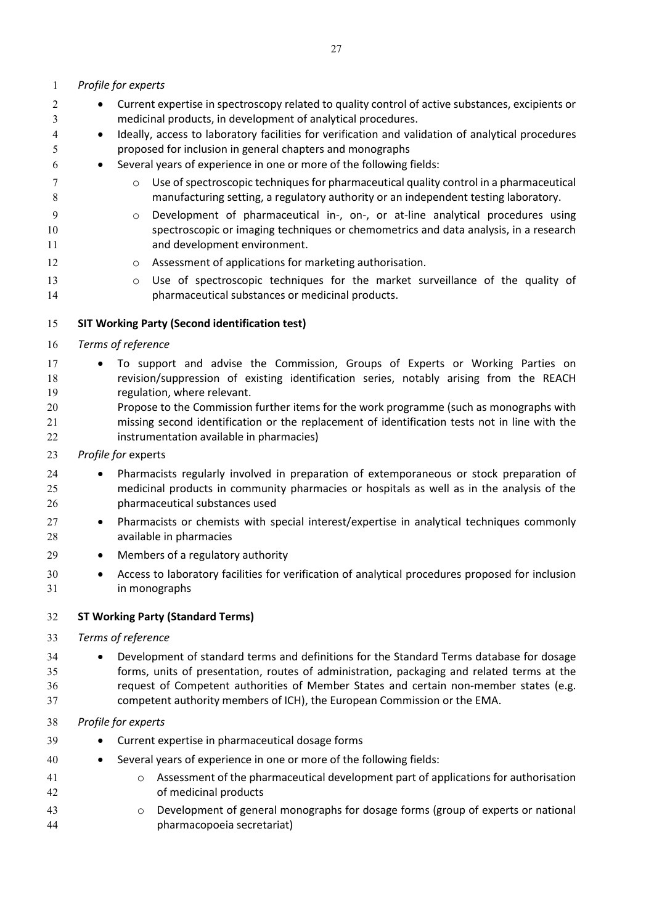<span id="page-25-1"></span><span id="page-25-0"></span>

| 2        | Current expertise in spectroscopy related to quality control of active substances, excipients or<br>$\bullet$                                                                            |
|----------|------------------------------------------------------------------------------------------------------------------------------------------------------------------------------------------|
| 3        | medicinal products, in development of analytical procedures.                                                                                                                             |
| 4<br>5   | Ideally, access to laboratory facilities for verification and validation of analytical procedures<br>$\bullet$<br>proposed for inclusion in general chapters and monographs              |
| 6        | Several years of experience in one or more of the following fields:<br>$\bullet$                                                                                                         |
|          |                                                                                                                                                                                          |
| 7<br>8   | Use of spectroscopic techniques for pharmaceutical quality control in a pharmaceutical<br>$\circ$<br>manufacturing setting, a regulatory authority or an independent testing laboratory. |
| 9        | Development of pharmaceutical in-, on-, or at-line analytical procedures using<br>$\circ$                                                                                                |
| 10<br>11 | spectroscopic or imaging techniques or chemometrics and data analysis, in a research<br>and development environment.                                                                     |
| 12       | Assessment of applications for marketing authorisation.<br>$\circ$                                                                                                                       |
| 13       | Use of spectroscopic techniques for the market surveillance of the quality of<br>$\circ$                                                                                                 |
| 14       | pharmaceutical substances or medicinal products.                                                                                                                                         |
| 15       | <b>SIT Working Party (Second identification test)</b>                                                                                                                                    |
| 16       | Terms of reference                                                                                                                                                                       |
| 17       | To support and advise the Commission, Groups of Experts or Working Parties on                                                                                                            |
| 18       | revision/suppression of existing identification series, notably arising from the REACH                                                                                                   |
| 19       | regulation, where relevant.                                                                                                                                                              |
| 20       | Propose to the Commission further items for the work programme (such as monographs with                                                                                                  |
| 21       | missing second identification or the replacement of identification tests not in line with the                                                                                            |
| 22       | instrumentation available in pharmacies)                                                                                                                                                 |
| 23       | Profile for experts                                                                                                                                                                      |
| 24       | Pharmacists regularly involved in preparation of extemporaneous or stock preparation of<br>$\bullet$                                                                                     |
| 25<br>26 | medicinal products in community pharmacies or hospitals as well as in the analysis of the<br>pharmaceutical substances used                                                              |
| 27       | Pharmacists or chemists with special interest/expertise in analytical techniques commonly<br>$\bullet$                                                                                   |
| 28       | available in pharmacies                                                                                                                                                                  |
| 29       | Members of a regulatory authority<br>$\bullet$                                                                                                                                           |
| 30       | Access to laboratory facilities for verification of analytical procedures proposed for inclusion<br>$\bullet$                                                                            |
| 31       | in monographs                                                                                                                                                                            |
| 32       | <b>ST Working Party (Standard Terms)</b>                                                                                                                                                 |
| 33       | Terms of reference                                                                                                                                                                       |
| 34       | Development of standard terms and definitions for the Standard Terms database for dosage                                                                                                 |
| 35       | forms, units of presentation, routes of administration, packaging and related terms at the                                                                                               |
| 36       | request of Competent authorities of Member States and certain non-member states (e.g.                                                                                                    |
| 37       | competent authority members of ICH), the European Commission or the EMA.                                                                                                                 |
| 38       | Profile for experts                                                                                                                                                                      |
| 39       | Current expertise in pharmaceutical dosage forms                                                                                                                                         |
| 40       | Several years of experience in one or more of the following fields:                                                                                                                      |
| 41       | Assessment of the pharmaceutical development part of applications for authorisation<br>$\circ$                                                                                           |
| 42       | of medicinal products                                                                                                                                                                    |
| 43<br>44 | Development of general monographs for dosage forms (group of experts or national<br>$\circ$<br>pharmacopoeia secretariat)                                                                |
|          |                                                                                                                                                                                          |

*Profile for experts*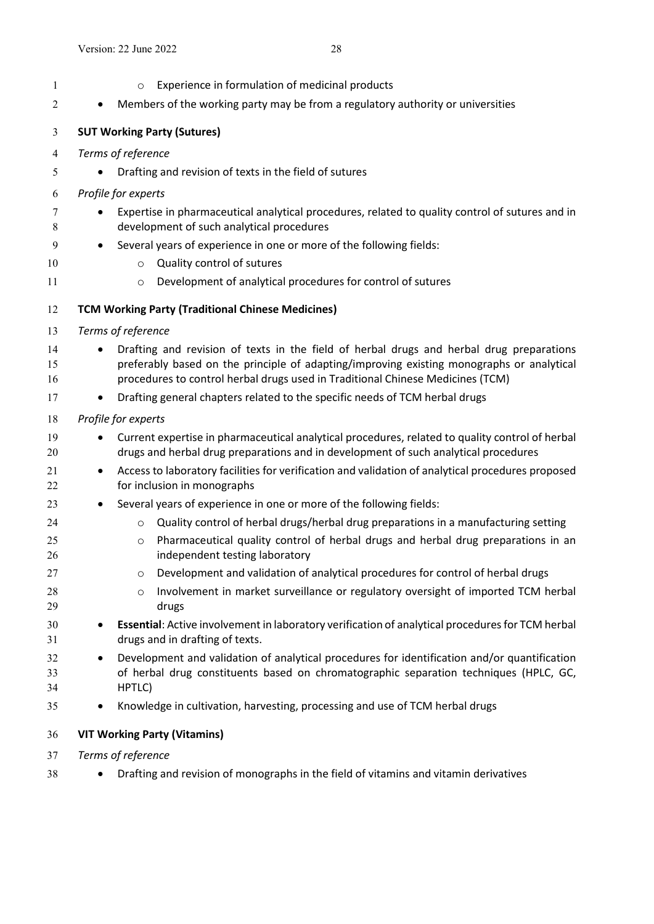- <span id="page-26-1"></span><span id="page-26-0"></span>**b** o Experience in formulation of medicinal products 2  $\bullet$  Members of the working party may be from a regulatory authority or universities **SUT Working Party (Sutures)** *Terms of reference* Drafting and revision of texts in the field of sutures *Profile for experts*  **Expertise in pharmaceutical analytical procedures, related to quality control of sutures and in**  development of such analytical procedures 9 • Several years of experience in one or more of the following fields: 10 o Quality control of sutures 11 o Development of analytical procedures for control of sutures **TCM Working Party (Traditional Chinese Medicines)** *Terms of reference* 14 • Drafting and revision of texts in the field of herbal drugs and herbal drug preparations preferably based on the principle of adapting/improving existing monographs or analytical procedures to control herbal drugs used in Traditional Chinese Medicines (TCM) 17 • Drafting general chapters related to the specific needs of TCM herbal drugs *Profile for experts*  Current expertise in pharmaceutical analytical procedures, related to quality control of herbal drugs and herbal drug preparations and in development of such analytical procedures 21 • Access to laboratory facilities for verification and validation of analytical procedures proposed for inclusion in monographs 23 • Several years of experience in one or more of the following fields: **o** Quality control of herbal drugs/herbal drug preparations in a manufacturing setting o Pharmaceutical quality control of herbal drugs and herbal drug preparations in an independent testing laboratory **b 27** o Development and validation of analytical procedures for control of herbal drugs 28 o Involvement in market surveillance or regulatory oversight of imported TCM herbal drugs **Essential**: Active involvement in laboratory verification of analytical proceduresfor TCM herbal drugs and in drafting of texts. Development and validation of analytical procedures for identification and/or quantification of herbal drug constituents based on chromatographic separation techniques (HPLC, GC, HPTLC) Knowledge in cultivation, harvesting, processing and use of TCM herbal drugs **VIT Working Party (Vitamins)** *Terms of reference*
- <span id="page-26-2"></span>**••** Drafting and revision of monographs in the field of vitamins and vitamin derivatives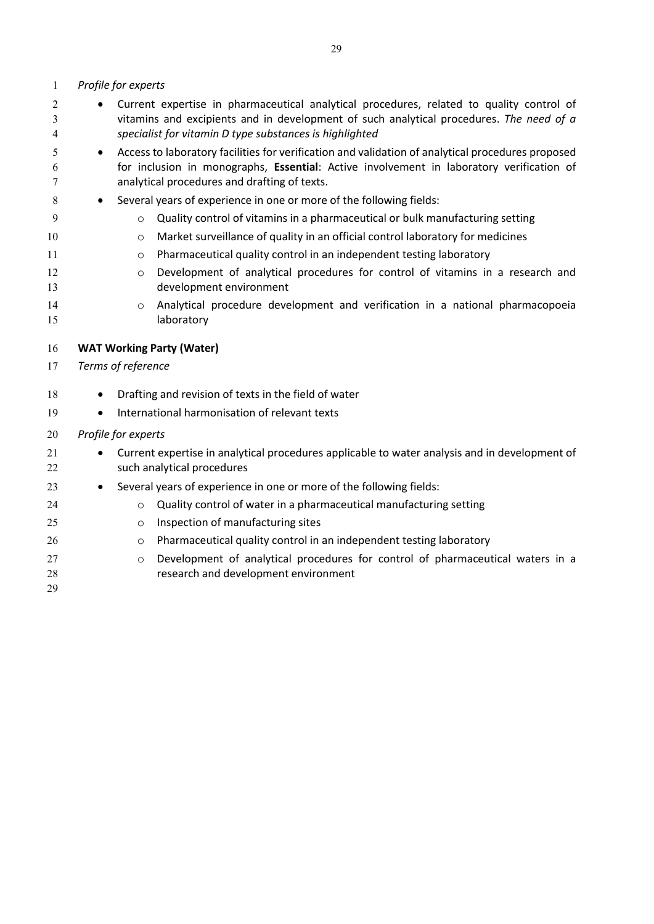### *Profile for experts*

- Current expertise in pharmaceutical analytical procedures, related to quality control of vitamins and excipients and in development of such analytical procedures. *The need of a specialist for vitamin D type substances is highlighted*
- Access to laboratory facilities for verification and validation of analytical procedures proposed for inclusion in monographs, **Essential**: Active involvement in laboratory verification of analytical procedures and drafting of texts.
- Several years of experience in one or more of the following fields:
- o Quality control of vitamins in a pharmaceutical or bulk manufacturing setting
- o Market surveillance of quality in an official control laboratory for medicines
- **b Pharmaceutical quality control in an independent testing laboratory**
- 12 o Development of analytical procedures for control of vitamins in a research and development environment
- 14 o Analytical procedure development and verification in a national pharmacopoeia 15 laboratory

### <span id="page-27-0"></span>**WAT Working Party (Water)**

- *Terms of reference*
- 18 Drafting and revision of texts in the field of water
- **•** International harmonisation of relevant texts

### *Profile for experts*

- Current expertise in analytical procedures applicable to water analysis and in development of such analytical procedures
- 23 
Several years of experience in one or more of the following fields:
- **o** Quality control of water in a pharmaceutical manufacturing setting
- 25 o Inspection of manufacturing sites
- **o** Pharmaceutical quality control in an independent testing laboratory
- 27 o Development of analytical procedures for control of pharmaceutical waters in a research and development environment
-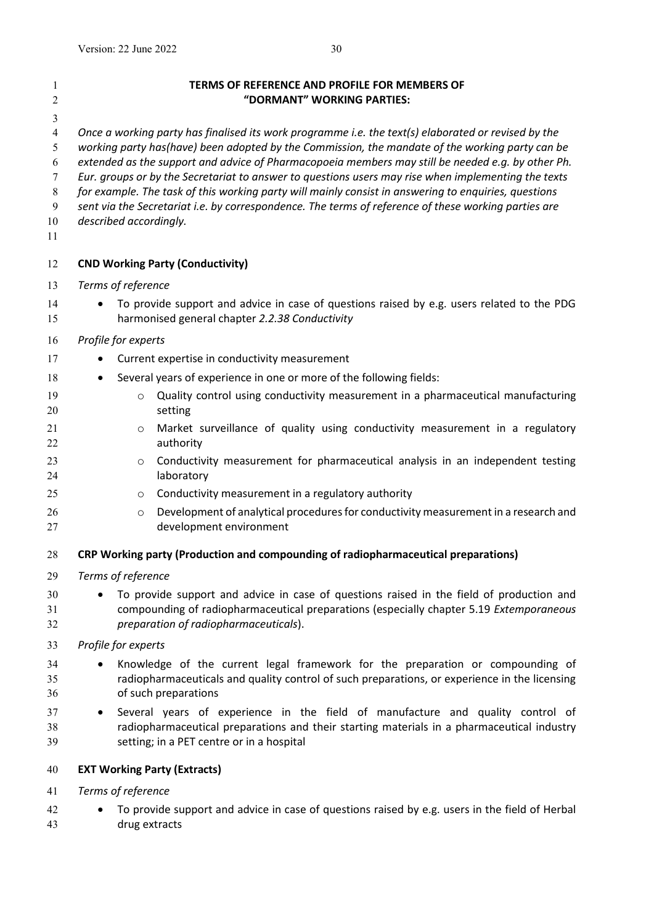<span id="page-28-1"></span><span id="page-28-0"></span>

| 1<br>$\sqrt{2}$                                                | TERMS OF REFERENCE AND PROFILE FOR MEMBERS OF<br>"DORMANT" WORKING PARTIES:                                                                                                                                                                                                                                                                                                                                                                                                                                                                                                                                                                                  |
|----------------------------------------------------------------|--------------------------------------------------------------------------------------------------------------------------------------------------------------------------------------------------------------------------------------------------------------------------------------------------------------------------------------------------------------------------------------------------------------------------------------------------------------------------------------------------------------------------------------------------------------------------------------------------------------------------------------------------------------|
| 3<br>$\overline{4}$<br>5<br>6<br>7<br>$\,8\,$<br>9<br>10<br>11 | Once a working party has finalised its work programme i.e. the text(s) elaborated or revised by the<br>working party has(have) been adopted by the Commission, the mandate of the working party can be<br>extended as the support and advice of Pharmacopoeia members may still be needed e.g. by other Ph.<br>Eur. groups or by the Secretariat to answer to questions users may rise when implementing the texts<br>for example. The task of this working party will mainly consist in answering to enquiries, questions<br>sent via the Secretariat i.e. by correspondence. The terms of reference of these working parties are<br>described accordingly. |
| 12                                                             | <b>CND Working Party (Conductivity)</b>                                                                                                                                                                                                                                                                                                                                                                                                                                                                                                                                                                                                                      |
| 13                                                             | Terms of reference                                                                                                                                                                                                                                                                                                                                                                                                                                                                                                                                                                                                                                           |
| 14<br>15                                                       | To provide support and advice in case of questions raised by e.g. users related to the PDG<br>harmonised general chapter 2.2.38 Conductivity                                                                                                                                                                                                                                                                                                                                                                                                                                                                                                                 |
| 16                                                             | Profile for experts                                                                                                                                                                                                                                                                                                                                                                                                                                                                                                                                                                                                                                          |
| 17                                                             | Current expertise in conductivity measurement                                                                                                                                                                                                                                                                                                                                                                                                                                                                                                                                                                                                                |
| 18                                                             | Several years of experience in one or more of the following fields:                                                                                                                                                                                                                                                                                                                                                                                                                                                                                                                                                                                          |
| 19<br>20                                                       | Quality control using conductivity measurement in a pharmaceutical manufacturing<br>$\circ$<br>setting                                                                                                                                                                                                                                                                                                                                                                                                                                                                                                                                                       |
| 21<br>22                                                       | Market surveillance of quality using conductivity measurement in a regulatory<br>$\circ$<br>authority                                                                                                                                                                                                                                                                                                                                                                                                                                                                                                                                                        |
| 23<br>24                                                       | Conductivity measurement for pharmaceutical analysis in an independent testing<br>$\circ$<br>laboratory                                                                                                                                                                                                                                                                                                                                                                                                                                                                                                                                                      |
| 25                                                             | Conductivity measurement in a regulatory authority<br>$\circ$                                                                                                                                                                                                                                                                                                                                                                                                                                                                                                                                                                                                |
| 26<br>27                                                       | Development of analytical procedures for conductivity measurement in a research and<br>$\circ$<br>development environment                                                                                                                                                                                                                                                                                                                                                                                                                                                                                                                                    |
| 28                                                             | <b>CRP Working party (Production and compounding of radiopharmaceutical preparations)</b>                                                                                                                                                                                                                                                                                                                                                                                                                                                                                                                                                                    |
| 29                                                             | Terms of reference                                                                                                                                                                                                                                                                                                                                                                                                                                                                                                                                                                                                                                           |
| 30<br>31<br>32                                                 | To provide support and advice in case of questions raised in the field of production and<br>compounding of radiopharmaceutical preparations (especially chapter 5.19 Extemporaneous<br>preparation of radiopharmaceuticals).                                                                                                                                                                                                                                                                                                                                                                                                                                 |
| 33                                                             | Profile for experts                                                                                                                                                                                                                                                                                                                                                                                                                                                                                                                                                                                                                                          |
| 34<br>35<br>36                                                 | Knowledge of the current legal framework for the preparation or compounding of<br>radiopharmaceuticals and quality control of such preparations, or experience in the licensing<br>of such preparations                                                                                                                                                                                                                                                                                                                                                                                                                                                      |
| 37<br>38<br>39                                                 | Several years of experience in the field of manufacture and quality control of<br>$\bullet$<br>radiopharmaceutical preparations and their starting materials in a pharmaceutical industry<br>setting; in a PET centre or in a hospital                                                                                                                                                                                                                                                                                                                                                                                                                       |
| 40                                                             | <b>EXT Working Party (Extracts)</b>                                                                                                                                                                                                                                                                                                                                                                                                                                                                                                                                                                                                                          |
| 41                                                             | Terms of reference                                                                                                                                                                                                                                                                                                                                                                                                                                                                                                                                                                                                                                           |

<span id="page-28-3"></span><span id="page-28-2"></span>42 • To provide support and advice in case of questions raised by e.g. users in the field of Herbal drug extracts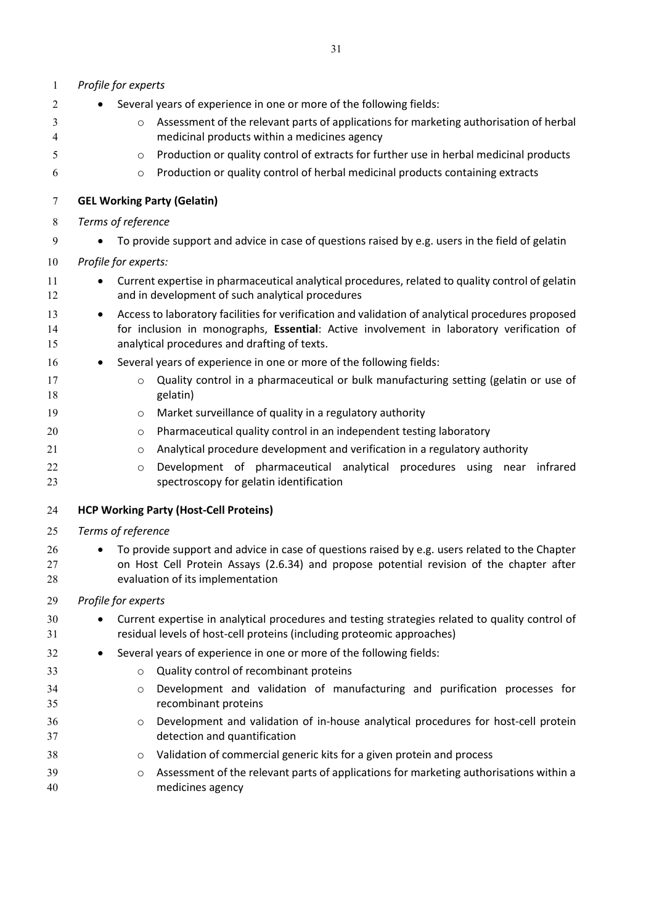<span id="page-29-1"></span><span id="page-29-0"></span>

| $\mathbf{1}$   | Profile for experts                                                                                                                                                                                                                                        |
|----------------|------------------------------------------------------------------------------------------------------------------------------------------------------------------------------------------------------------------------------------------------------------|
| 2              | Several years of experience in one or more of the following fields:                                                                                                                                                                                        |
| 3<br>4         | Assessment of the relevant parts of applications for marketing authorisation of herbal<br>$\circ$<br>medicinal products within a medicines agency                                                                                                          |
| 5              | Production or quality control of extracts for further use in herbal medicinal products<br>$\circ$                                                                                                                                                          |
| 6              | Production or quality control of herbal medicinal products containing extracts<br>$\circ$                                                                                                                                                                  |
| 7              | <b>GEL Working Party (Gelatin)</b>                                                                                                                                                                                                                         |
| 8              | Terms of reference                                                                                                                                                                                                                                         |
| 9              | To provide support and advice in case of questions raised by e.g. users in the field of gelatin                                                                                                                                                            |
| 10             | Profile for experts:                                                                                                                                                                                                                                       |
| 11<br>12       | Current expertise in pharmaceutical analytical procedures, related to quality control of gelatin<br>and in development of such analytical procedures                                                                                                       |
| 13<br>14<br>15 | Access to laboratory facilities for verification and validation of analytical procedures proposed<br>$\bullet$<br>for inclusion in monographs, Essential: Active involvement in laboratory verification of<br>analytical procedures and drafting of texts. |
| 16             | Several years of experience in one or more of the following fields:<br>$\bullet$                                                                                                                                                                           |
| 17<br>18       | Quality control in a pharmaceutical or bulk manufacturing setting (gelatin or use of<br>$\circ$<br>gelatin)                                                                                                                                                |
| 19             | Market surveillance of quality in a regulatory authority<br>$\circ$                                                                                                                                                                                        |
| 20             | Pharmaceutical quality control in an independent testing laboratory<br>$\circ$                                                                                                                                                                             |
| 21             | Analytical procedure development and verification in a regulatory authority<br>$\circ$                                                                                                                                                                     |
| 22<br>23       | Development of pharmaceutical analytical procedures using near infrared<br>$\circ$<br>spectroscopy for gelatin identification                                                                                                                              |
| 24             | <b>HCP Working Party (Host-Cell Proteins)</b>                                                                                                                                                                                                              |
| 25             | Terms of reference                                                                                                                                                                                                                                         |
| 26<br>27<br>28 | To provide support and advice in case of questions raised by e.g. users related to the Chapter<br>on Host Cell Protein Assays (2.6.34) and propose potential revision of the chapter after<br>evaluation of its implementation                             |
| 29             | Profile for experts                                                                                                                                                                                                                                        |
| 30<br>31       | Current expertise in analytical procedures and testing strategies related to quality control of<br>residual levels of host-cell proteins (including proteomic approaches)                                                                                  |
| 32             | Several years of experience in one or more of the following fields:                                                                                                                                                                                        |
| 33             | Quality control of recombinant proteins<br>$\circ$                                                                                                                                                                                                         |
| 34<br>35       | Development and validation of manufacturing and purification processes for<br>$\circ$<br>recombinant proteins                                                                                                                                              |
| 36<br>37       | Development and validation of in-house analytical procedures for host-cell protein<br>$\circ$<br>detection and quantification                                                                                                                              |
| 38             | Validation of commercial generic kits for a given protein and process<br>$\circ$                                                                                                                                                                           |
| 39<br>40       | Assessment of the relevant parts of applications for marketing authorisations within a<br>$\circ$<br>medicines agency                                                                                                                                      |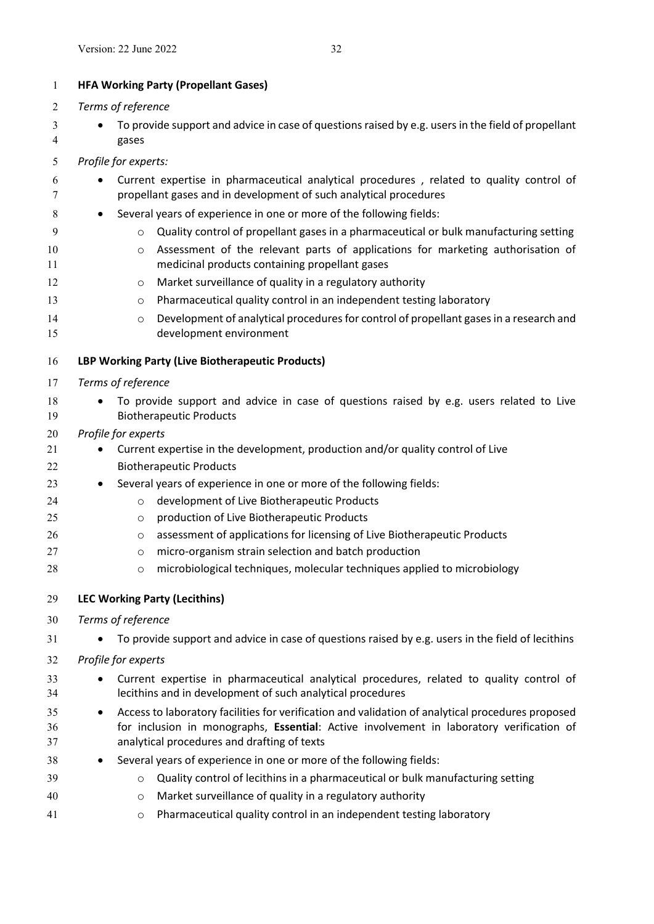<span id="page-30-2"></span><span id="page-30-1"></span><span id="page-30-0"></span>

| $\mathbf{1}$   | <b>HFA Working Party (Propellant Gases)</b>                                                                                                                                                                                                               |
|----------------|-----------------------------------------------------------------------------------------------------------------------------------------------------------------------------------------------------------------------------------------------------------|
| $\overline{2}$ | Terms of reference                                                                                                                                                                                                                                        |
| 3              | To provide support and advice in case of questions raised by e.g. users in the field of propellant                                                                                                                                                        |
| 4              | gases                                                                                                                                                                                                                                                     |
| 5              | Profile for experts:                                                                                                                                                                                                                                      |
| 6<br>7         | Current expertise in pharmaceutical analytical procedures, related to quality control of<br>propellant gases and in development of such analytical procedures                                                                                             |
| 8              | Several years of experience in one or more of the following fields:<br>$\bullet$                                                                                                                                                                          |
| 9              | Quality control of propellant gases in a pharmaceutical or bulk manufacturing setting<br>$\circ$                                                                                                                                                          |
| 10<br>11       | Assessment of the relevant parts of applications for marketing authorisation of<br>$\circ$<br>medicinal products containing propellant gases                                                                                                              |
| 12             | Market surveillance of quality in a regulatory authority<br>O                                                                                                                                                                                             |
| 13             | Pharmaceutical quality control in an independent testing laboratory<br>$\circ$                                                                                                                                                                            |
| 14<br>15       | Development of analytical procedures for control of propellant gases in a research and<br>$\circ$<br>development environment                                                                                                                              |
| 16             | LBP Working Party (Live Biotherapeutic Products)                                                                                                                                                                                                          |
| 17             | Terms of reference                                                                                                                                                                                                                                        |
| 18<br>19       | To provide support and advice in case of questions raised by e.g. users related to Live<br><b>Biotherapeutic Products</b>                                                                                                                                 |
| 20             | Profile for experts                                                                                                                                                                                                                                       |
| 21             | Current expertise in the development, production and/or quality control of Live                                                                                                                                                                           |
| 22             | <b>Biotherapeutic Products</b>                                                                                                                                                                                                                            |
| 23             | Several years of experience in one or more of the following fields:<br>$\bullet$                                                                                                                                                                          |
| 24             | development of Live Biotherapeutic Products<br>$\circ$                                                                                                                                                                                                    |
| 25             | production of Live Biotherapeutic Products<br>$\circ$                                                                                                                                                                                                     |
| 26             | assessment of applications for licensing of Live Biotherapeutic Products<br>$\circ$                                                                                                                                                                       |
| 27             | micro-organism strain selection and batch production<br>$\circ$                                                                                                                                                                                           |
| 28             | microbiological techniques, molecular techniques applied to microbiology<br>$\circ$                                                                                                                                                                       |
| 29             | <b>LEC Working Party (Lecithins)</b>                                                                                                                                                                                                                      |
| 30             | Terms of reference                                                                                                                                                                                                                                        |
| 31             | To provide support and advice in case of questions raised by e.g. users in the field of lecithins                                                                                                                                                         |
| 32             | Profile for experts                                                                                                                                                                                                                                       |
| 33<br>34       | Current expertise in pharmaceutical analytical procedures, related to quality control of<br>lecithins and in development of such analytical procedures                                                                                                    |
| 35<br>36<br>37 | Access to laboratory facilities for verification and validation of analytical procedures proposed<br>$\bullet$<br>for inclusion in monographs, Essential: Active involvement in laboratory verification of<br>analytical procedures and drafting of texts |
| 38             | Several years of experience in one or more of the following fields:                                                                                                                                                                                       |
| 39             | Quality control of lecithins in a pharmaceutical or bulk manufacturing setting<br>$\circ$                                                                                                                                                                 |
| 40             | Market surveillance of quality in a regulatory authority<br>$\circ$                                                                                                                                                                                       |
| 41             | Pharmaceutical quality control in an independent testing laboratory<br>$\circ$                                                                                                                                                                            |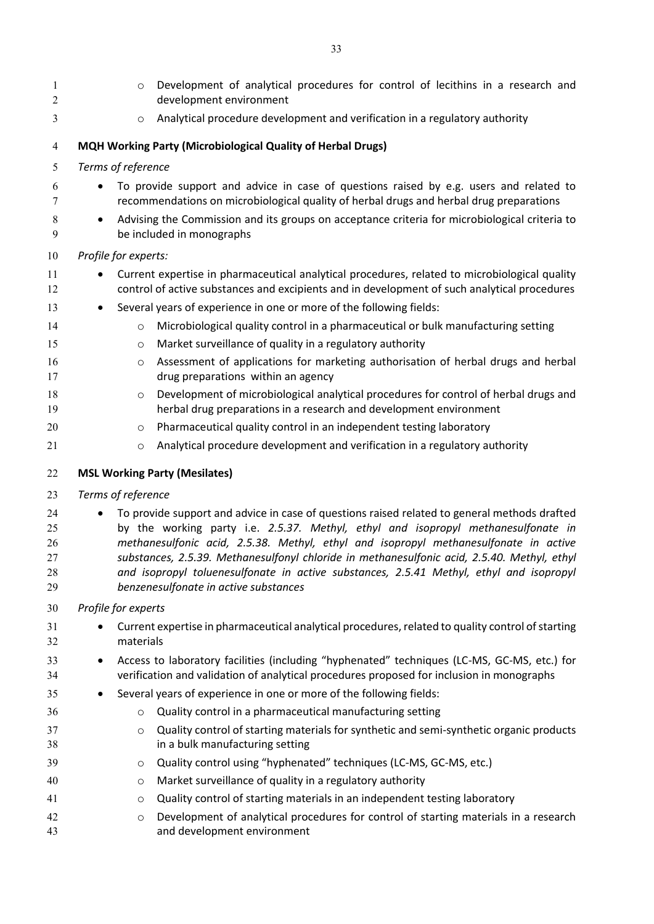<span id="page-31-1"></span><span id="page-31-0"></span>

| 1<br>2   | Development of analytical procedures for control of lecithins in a research and<br>$\circ$<br>development environment                                                                         |
|----------|-----------------------------------------------------------------------------------------------------------------------------------------------------------------------------------------------|
| 3        | Analytical procedure development and verification in a regulatory authority<br>$\circ$                                                                                                        |
| 4        | MQH Working Party (Microbiological Quality of Herbal Drugs)                                                                                                                                   |
| 5        | Terms of reference                                                                                                                                                                            |
| 6<br>7   | To provide support and advice in case of questions raised by e.g. users and related to<br>recommendations on microbiological quality of herbal drugs and herbal drug preparations             |
| 8<br>9   | Advising the Commission and its groups on acceptance criteria for microbiological criteria to<br>$\bullet$<br>be included in monographs                                                       |
| 10       | Profile for experts:                                                                                                                                                                          |
| 11<br>12 | Current expertise in pharmaceutical analytical procedures, related to microbiological quality<br>control of active substances and excipients and in development of such analytical procedures |
| 13       | Several years of experience in one or more of the following fields:                                                                                                                           |
| 14       | Microbiological quality control in a pharmaceutical or bulk manufacturing setting<br>$\circ$                                                                                                  |
| 15       | Market surveillance of quality in a regulatory authority<br>$\circ$                                                                                                                           |
| 16<br>17 | Assessment of applications for marketing authorisation of herbal drugs and herbal<br>$\circ$<br>drug preparations within an agency                                                            |
| 18<br>19 | Development of microbiological analytical procedures for control of herbal drugs and<br>$\circ$<br>herbal drug preparations in a research and development environment                         |
| 20       | Pharmaceutical quality control in an independent testing laboratory<br>O                                                                                                                      |
| 21       | Analytical procedure development and verification in a regulatory authority<br>$\circ$                                                                                                        |
| 22       | <b>MSL Working Party (Mesilates)</b>                                                                                                                                                          |
| 23       | Terms of reference                                                                                                                                                                            |
| 24       | To provide support and advice in case of questions raised related to general methods drafted                                                                                                  |
| 25       | by the working party i.e. 2.5.37. Methyl, ethyl and isopropyl methanesulfonate in                                                                                                             |
| 26       | methanesulfonic acid, 2.5.38. Methyl, ethyl and isopropyl methanesulfonate in active                                                                                                          |
| 27<br>28 | substances, 2.5.39. Methanesulfonyl chloride in methanesulfonic acid, 2.5.40. Methyl, ethyl<br>and isopropyl toluenesulfonate in active substances, 2.5.41 Methyl, ethyl and isopropyl        |
| 29       | benzenesulfonate in active substances                                                                                                                                                         |
| 30       | Profile for experts                                                                                                                                                                           |
| 31<br>32 | Current expertise in pharmaceutical analytical procedures, related to quality control of starting<br>materials                                                                                |
| 33<br>34 | Access to laboratory facilities (including "hyphenated" techniques (LC-MS, GC-MS, etc.) for<br>verification and validation of analytical procedures proposed for inclusion in monographs      |
| 35       | Several years of experience in one or more of the following fields:                                                                                                                           |
| 36       | Quality control in a pharmaceutical manufacturing setting<br>$\circ$                                                                                                                          |
| 37       | Quality control of starting materials for synthetic and semi-synthetic organic products<br>$\circ$                                                                                            |
| 38       | in a bulk manufacturing setting                                                                                                                                                               |
| 39       | Quality control using "hyphenated" techniques (LC-MS, GC-MS, etc.)<br>O                                                                                                                       |
| 40       | Market surveillance of quality in a regulatory authority<br>O                                                                                                                                 |
| 41       | Quality control of starting materials in an independent testing laboratory<br>O                                                                                                               |
| 42<br>43 | Development of analytical procedures for control of starting materials in a research<br>$\circ$<br>and development environment                                                                |
|          |                                                                                                                                                                                               |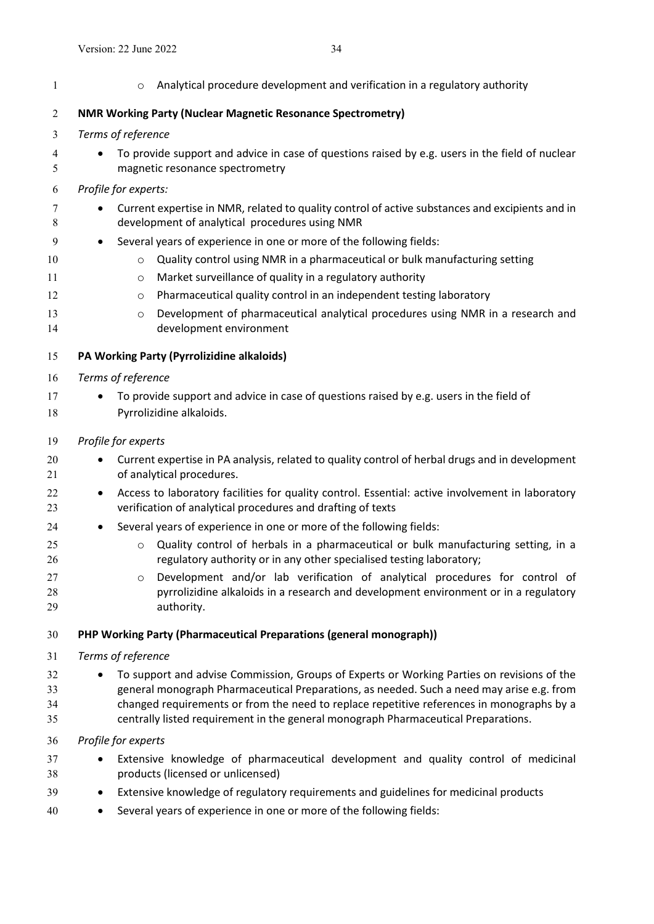- <span id="page-32-1"></span><span id="page-32-0"></span>1 **1 b**  $\circ$  Analytical procedure development and verification in a regulatory authority **NMR Working Party (Nuclear Magnetic Resonance Spectrometry)** *Terms of reference* To provide support and advice in case of questions raised by e.g. users in the field of nuclear magnetic resonance spectrometry *Profile for experts:* **•** Current expertise in NMR, related to quality control of active substances and excipients and in development of analytical procedures using NMR 9 Several years of experience in one or more of the following fields: 10  $\circ$  Quality control using NMR in a pharmaceutical or bulk manufacturing setting **b 11** o Market surveillance of quality in a regulatory authority **o** Pharmaceutical quality control in an independent testing laboratory **b Development of pharmaceutical analytical procedures using NMR in a research and**  development environment **PA Working Party (Pyrrolizidine alkaloids)** *Terms of reference* 17 • To provide support and advice in case of questions raised by e.g. users in the field of Pyrrolizidine alkaloids. *Profile for experts*  Current expertise in PA analysis, related to quality control of herbal drugs and in development of analytical procedures. **•** Access to laboratory facilities for quality control. Essential: active involvement in laboratory verification of analytical procedures and drafting of texts 24 Several years of experience in one or more of the following fields: o Quality control of herbals in a pharmaceutical or bulk manufacturing setting, in a regulatory authority or in any other specialised testing laboratory; 27 o Development and/or lab verification of analytical procedures for control of pyrrolizidine alkaloids in a research and development environment or in a regulatory authority. **PHP Working Party (Pharmaceutical Preparations (general monograph))** *Terms of reference* 32 • To support and advise Commission, Groups of Experts or Working Parties on revisions of the general monograph Pharmaceutical Preparations, as needed. Such a need may arise e.g. from changed requirements or from the need to replace repetitive references in monographs by a centrally listed requirement in the general monograph Pharmaceutical Preparations. *Profile for experts* Extensive knowledge of pharmaceutical development and quality control of medicinal products (licensed or unlicensed) Extensive knowledge of regulatory requirements and guidelines for medicinal products
- <span id="page-32-2"></span>Several years of experience in one or more of the following fields: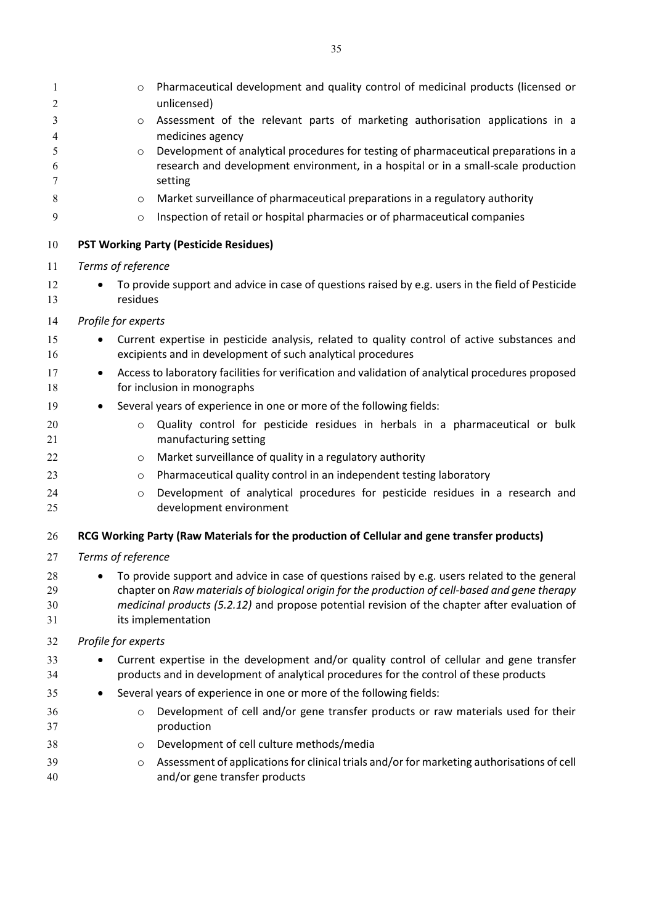<span id="page-33-1"></span><span id="page-33-0"></span>

| 1<br>$\sqrt{2}$      | Pharmaceutical development and quality control of medicinal products (licensed or<br>$\circ$<br>unlicensed)                                                                                                                                                                                                              |
|----------------------|--------------------------------------------------------------------------------------------------------------------------------------------------------------------------------------------------------------------------------------------------------------------------------------------------------------------------|
| 3                    | Assessment of the relevant parts of marketing authorisation applications in a<br>$\circ$                                                                                                                                                                                                                                 |
| 4                    | medicines agency                                                                                                                                                                                                                                                                                                         |
| 5<br>6<br>7          | Development of analytical procedures for testing of pharmaceutical preparations in a<br>$\circ$<br>research and development environment, in a hospital or in a small-scale production<br>setting                                                                                                                         |
| 8                    | Market surveillance of pharmaceutical preparations in a regulatory authority<br>$\circ$                                                                                                                                                                                                                                  |
| 9                    | Inspection of retail or hospital pharmacies or of pharmaceutical companies<br>$\circ$                                                                                                                                                                                                                                    |
| 10                   | <b>PST Working Party (Pesticide Residues)</b>                                                                                                                                                                                                                                                                            |
| 11                   | Terms of reference                                                                                                                                                                                                                                                                                                       |
| 12<br>13             | To provide support and advice in case of questions raised by e.g. users in the field of Pesticide<br>residues                                                                                                                                                                                                            |
| 14                   | Profile for experts                                                                                                                                                                                                                                                                                                      |
| 15<br>16             | Current expertise in pesticide analysis, related to quality control of active substances and<br>$\bullet$<br>excipients and in development of such analytical procedures                                                                                                                                                 |
| 17<br>18             | Access to laboratory facilities for verification and validation of analytical procedures proposed<br>$\bullet$<br>for inclusion in monographs                                                                                                                                                                            |
| 19                   | Several years of experience in one or more of the following fields:                                                                                                                                                                                                                                                      |
| 20<br>21             | Quality control for pesticide residues in herbals in a pharmaceutical or bulk<br>$\circ$<br>manufacturing setting                                                                                                                                                                                                        |
| 22                   | Market surveillance of quality in a regulatory authority<br>$\circ$                                                                                                                                                                                                                                                      |
| 23                   | Pharmaceutical quality control in an independent testing laboratory<br>$\circ$                                                                                                                                                                                                                                           |
| 24<br>25             | Development of analytical procedures for pesticide residues in a research and<br>$\circ$<br>development environment                                                                                                                                                                                                      |
| 26                   | RCG Working Party (Raw Materials for the production of Cellular and gene transfer products)                                                                                                                                                                                                                              |
| 27                   | Terms of reference                                                                                                                                                                                                                                                                                                       |
| 28<br>29<br>30<br>31 | To provide support and advice in case of questions raised by e.g. users related to the general<br>chapter on Raw materials of biological origin for the production of cell-based and gene therapy<br>medicinal products (5.2.12) and propose potential revision of the chapter after evaluation of<br>its implementation |
| 32                   | Profile for experts                                                                                                                                                                                                                                                                                                      |
| 33<br>34             | Current expertise in the development and/or quality control of cellular and gene transfer<br>products and in development of analytical procedures for the control of these products                                                                                                                                      |
| 35                   | Several years of experience in one or more of the following fields:<br>$\bullet$                                                                                                                                                                                                                                         |
| 36<br>37             | Development of cell and/or gene transfer products or raw materials used for their<br>$\circ$<br>production                                                                                                                                                                                                               |
| 38                   | Development of cell culture methods/media<br>O                                                                                                                                                                                                                                                                           |
| 39<br>40             | Assessment of applications for clinical trials and/or for marketing authorisations of cell<br>$\circ$<br>and/or gene transfer products                                                                                                                                                                                   |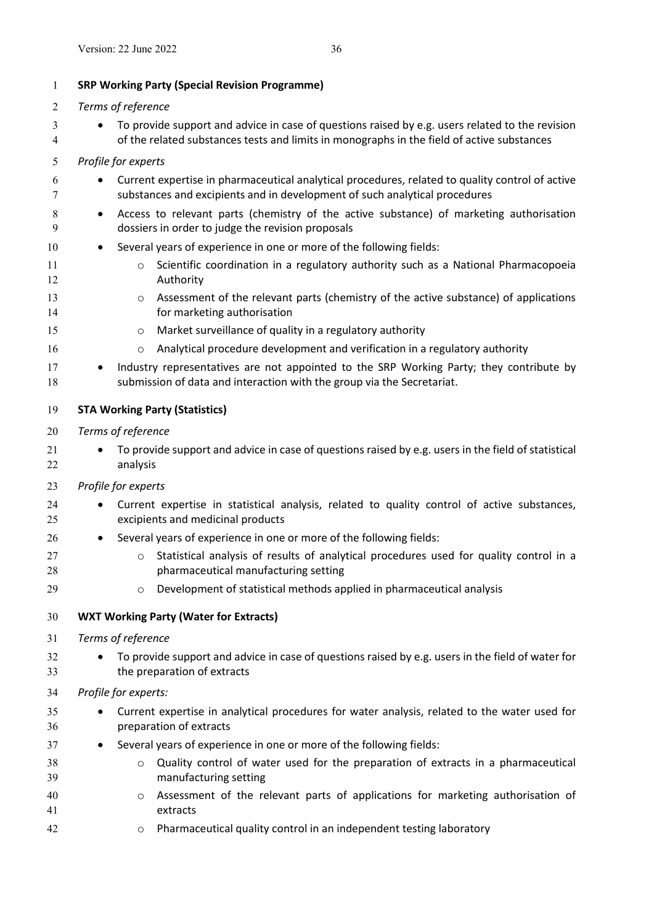- <span id="page-34-0"></span>3 • To provide support and advice in case of questions raised by e.g. users related to the revision of the related substances tests and limits in monographs in the field of active substances
- *Profile for experts*
- Current expertise in pharmaceutical analytical procedures, related to quality control of active substances and excipients and in development of such analytical procedures
- 8 Access to relevant parts (chemistry of the active substance) of marketing authorisation dossiers in order to judge the revision proposals

## 10 • Several years of experience in one or more of the following fields:

- **o** Scientific coordination in a regulatory authority such as a National Pharmacopoeia Authority
- 13 o Assessment of the relevant parts (chemistry of the active substance) of applications for marketing authorisation
- o Market surveillance of quality in a regulatory authority
- **o Analytical procedure development and verification in a regulatory authority**

17 • Industry representatives are not appointed to the SRP Working Party; they contribute by submission of data and interaction with the group via the Secretariat.

- <span id="page-34-1"></span>**STA Working Party (Statistics)**
- *Terms of reference*
- 21 To provide support and advice in case of questions raised by e.g. users in the field of statistical analysis
- *Profile for experts*
- 24 Current expertise in statistical analysis, related to quality control of active substances, excipients and medicinal products
- **Several years of experience in one or more of the following fields:**
- **b 27** o Statistical analysis of results of analytical procedures used for quality control in a pharmaceutical manufacturing setting
- **O Development of statistical methods applied in pharmaceutical analysis**

# <span id="page-34-2"></span>**WXT Working Party (Water for Extracts)**

- *Terms of reference*
- 32 To provide support and advice in case of questions raised by e.g. users in the field of water for the preparation of extracts

# *Profile for experts:*

- Current expertise in analytical procedures for water analysis, related to the water used for preparation of extracts
- 37 
Several years of experience in one or more of the following fields:
- o Quality control of water used for the preparation of extracts in a pharmaceutical manufacturing setting
- o Assessment of the relevant parts of applications for marketing authorisation of extracts
- o Pharmaceutical quality control in an independent testing laboratory